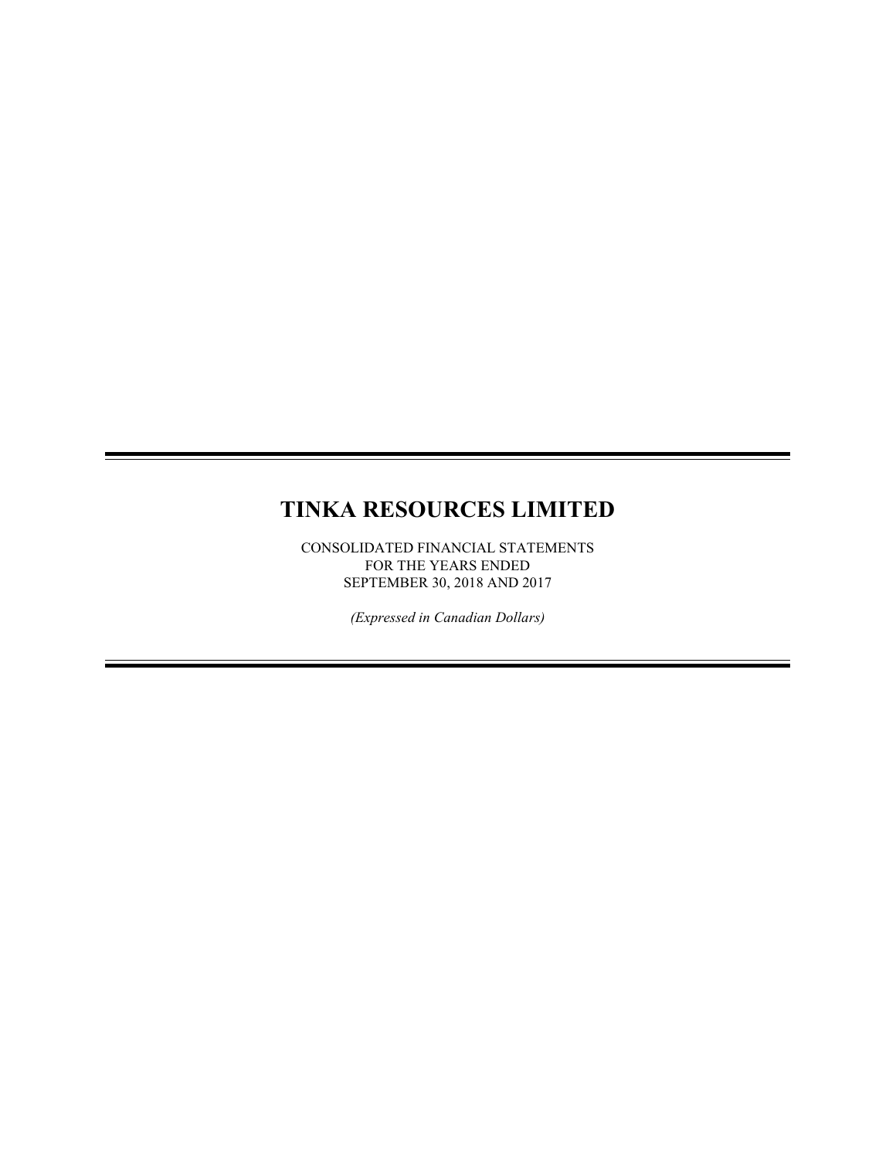# **TINKA RESOURCES LIMITED**

CONSOLIDATED FINANCIAL STATEMENTS FOR THE YEARS ENDED SEPTEMBER 30, 2018 AND 2017

*(Expressed in Canadian Dollars)*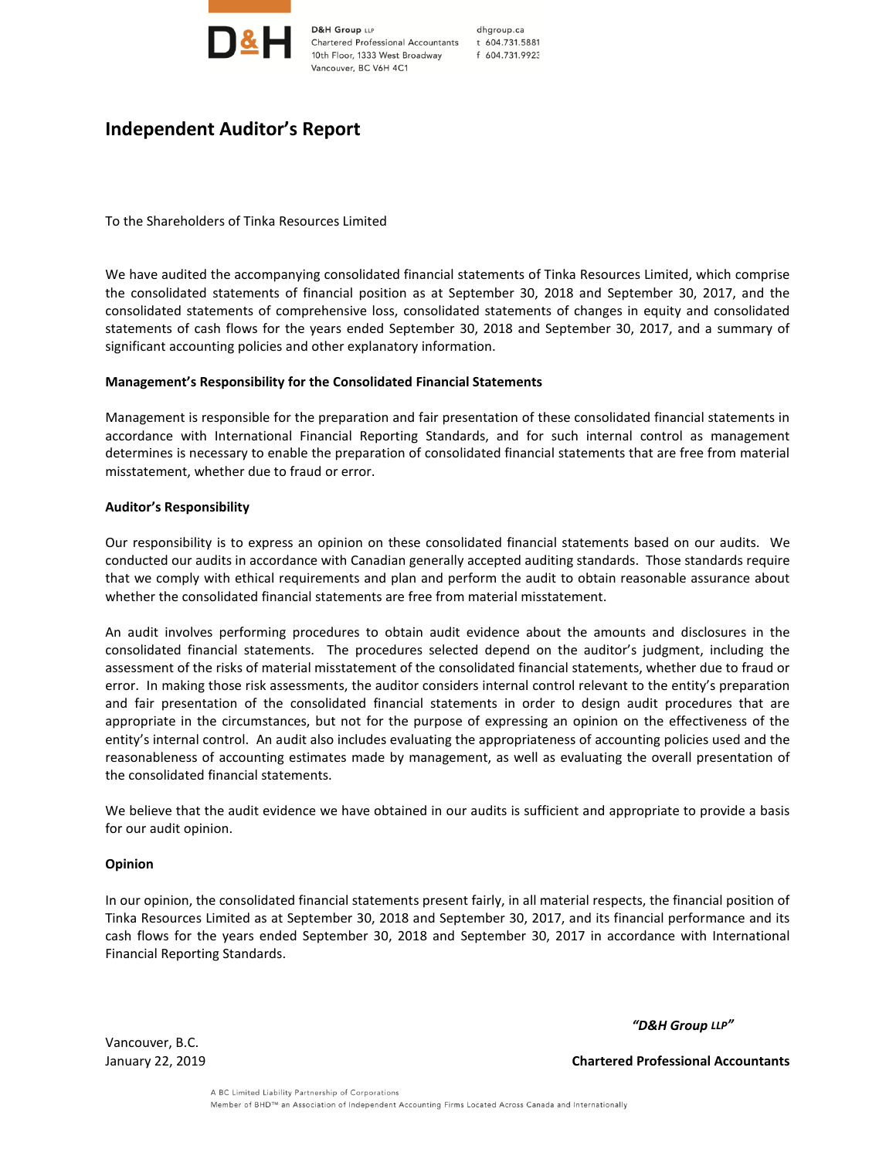

dhgroup.ca t 604.731.5881 f 604.731.9923

# **Independent Auditor's Report**

To the Shareholders of Tinka Resources Limited

We have audited the accompanying consolidated financial statements of Tinka Resources Limited, which comprise the consolidated statements of financial position as at September 30, 2018 and September 30, 2017, and the consolidated statements of comprehensive loss, consolidated statements of changes in equity and consolidated statements of cash flows for the years ended September 30, 2018 and September 30, 2017, and a summary of significant accounting policies and other explanatory information.

## **Management's Responsibility for the Consolidated Financial Statements**

Management is responsible for the preparation and fair presentation of these consolidated financial statements in accordance with International Financial Reporting Standards, and for such internal control as management determines is necessary to enable the preparation of consolidated financial statements that are free from material misstatement, whether due to fraud or error.

#### **Auditor's Responsibility**

Our responsibility is to express an opinion on these consolidated financial statements based on our audits. We conducted our audits in accordance with Canadian generally accepted auditing standards. Those standards require that we comply with ethical requirements and plan and perform the audit to obtain reasonable assurance about whether the consolidated financial statements are free from material misstatement.

An audit involves performing procedures to obtain audit evidence about the amounts and disclosures in the consolidated financial statements. The procedures selected depend on the auditor's judgment, including the assessment of the risks of material misstatement of the consolidated financial statements, whether due to fraud or error. In making those risk assessments, the auditor considers internal control relevant to the entity's preparation and fair presentation of the consolidated financial statements in order to design audit procedures that are appropriate in the circumstances, but not for the purpose of expressing an opinion on the effectiveness of the entity's internal control. An audit also includes evaluating the appropriateness of accounting policies used and the reasonableness of accounting estimates made by management, as well as evaluating the overall presentation of the consolidated financial statements.

We believe that the audit evidence we have obtained in our audits is sufficient and appropriate to provide a basis for our audit opinion.

#### **Opinion**

In our opinion, the consolidated financial statements present fairly, in all material respects, the financial position of Tinka Resources Limited as at September 30, 2018 and September 30, 2017, and its financial performance and its cash flows for the years ended September 30, 2018 and September 30, 2017 in accordance with International Financial Reporting Standards.

*"D&H Group LLP"*

Vancouver, B.C.

January 22, 2019 **Chartered Professional Accountants**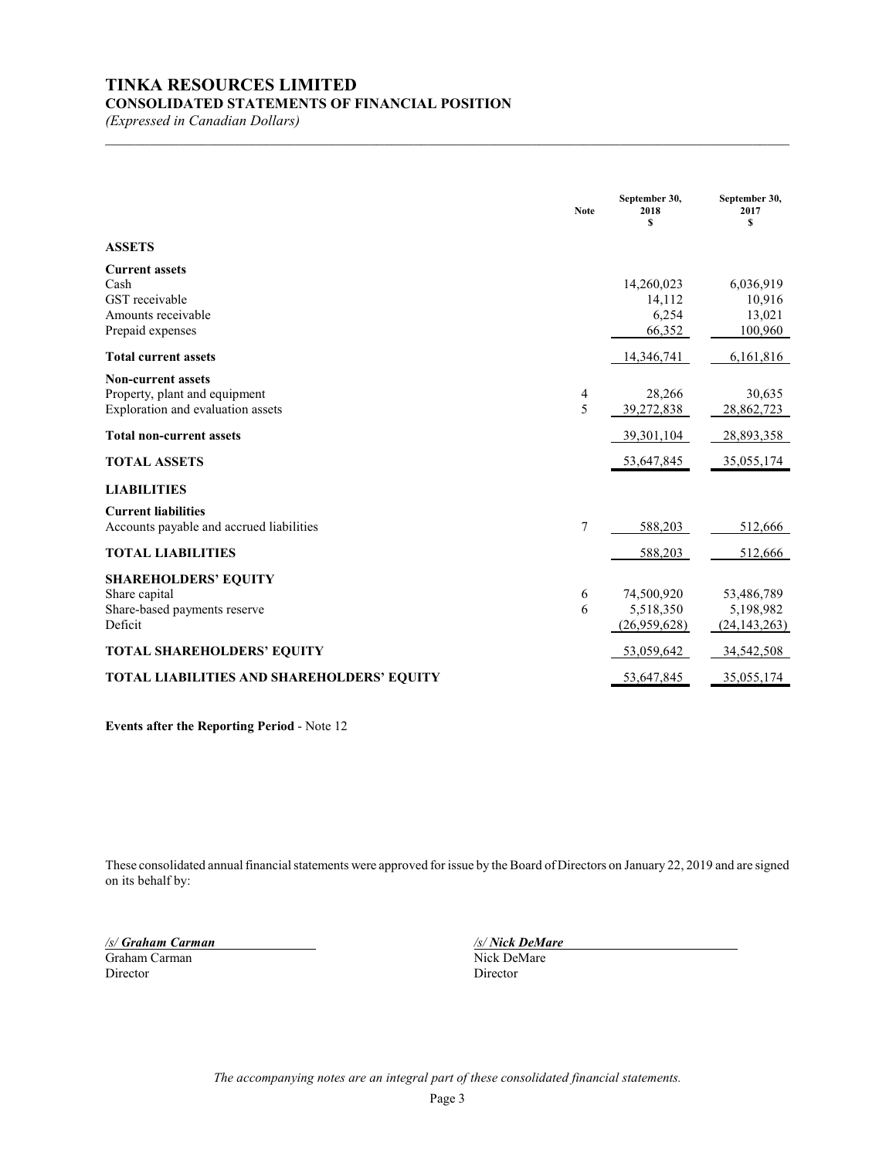# **TINKA RESOURCES LIMITED**

## **CONSOLIDATED STATEMENTS OF FINANCIAL POSITION**

*(Expressed in Canadian Dollars)*

|                                                                                                 | <b>Note</b> | September 30,<br>2018<br>\$             | September 30,<br>2017<br>s                |
|-------------------------------------------------------------------------------------------------|-------------|-----------------------------------------|-------------------------------------------|
| <b>ASSETS</b>                                                                                   |             |                                         |                                           |
| <b>Current assets</b><br>Cash<br>GST receivable<br>Amounts receivable<br>Prepaid expenses       |             | 14,260,023<br>14,112<br>6,254<br>66,352 | 6,036,919<br>10,916<br>13,021<br>100,960  |
| <b>Total current assets</b>                                                                     |             | 14,346,741                              | 6,161,816                                 |
| <b>Non-current assets</b><br>Property, plant and equipment<br>Exploration and evaluation assets | 4<br>5      | 28,266<br>39,272,838                    | 30,635<br>28,862,723                      |
| <b>Total non-current assets</b>                                                                 |             | 39,301,104                              | 28,893,358                                |
| <b>TOTAL ASSETS</b>                                                                             |             | 53,647,845                              | 35,055,174                                |
| <b>LIABILITIES</b>                                                                              |             |                                         |                                           |
| <b>Current liabilities</b><br>Accounts payable and accrued liabilities                          | 7           | 588,203                                 | 512,666                                   |
| <b>TOTAL LIABILITIES</b>                                                                        |             | 588,203                                 | 512,666                                   |
| <b>SHAREHOLDERS' EQUITY</b><br>Share capital<br>Share-based payments reserve<br>Deficit         | 6<br>6      | 74,500,920<br>5,518,350<br>(26,959,628) | 53,486,789<br>5,198,982<br>(24, 143, 263) |
| <b>TOTAL SHAREHOLDERS' EQUITY</b>                                                               |             | 53,059,642                              | 34,542,508                                |
| <b>TOTAL LIABILITIES AND SHAREHOLDERS' EQUITY</b>                                               |             | 53,647,845                              | 35,055,174                                |

 $\mathcal{L}_\mathcal{L} = \{ \mathcal{L}_\mathcal{L} = \{ \mathcal{L}_\mathcal{L} = \{ \mathcal{L}_\mathcal{L} = \{ \mathcal{L}_\mathcal{L} = \{ \mathcal{L}_\mathcal{L} = \{ \mathcal{L}_\mathcal{L} = \{ \mathcal{L}_\mathcal{L} = \{ \mathcal{L}_\mathcal{L} = \{ \mathcal{L}_\mathcal{L} = \{ \mathcal{L}_\mathcal{L} = \{ \mathcal{L}_\mathcal{L} = \{ \mathcal{L}_\mathcal{L} = \{ \mathcal{L}_\mathcal{L} = \{ \mathcal{L}_\mathcal{$ 

**Events after the Reporting Period** - Note 12

These consolidated annual financial statements were approved for issue by the Board of Directors on January 22, 2019 and are signed on its behalf by:

*/s/ Graham Carman /s/ Nick DeMare* Graham Carman Director Director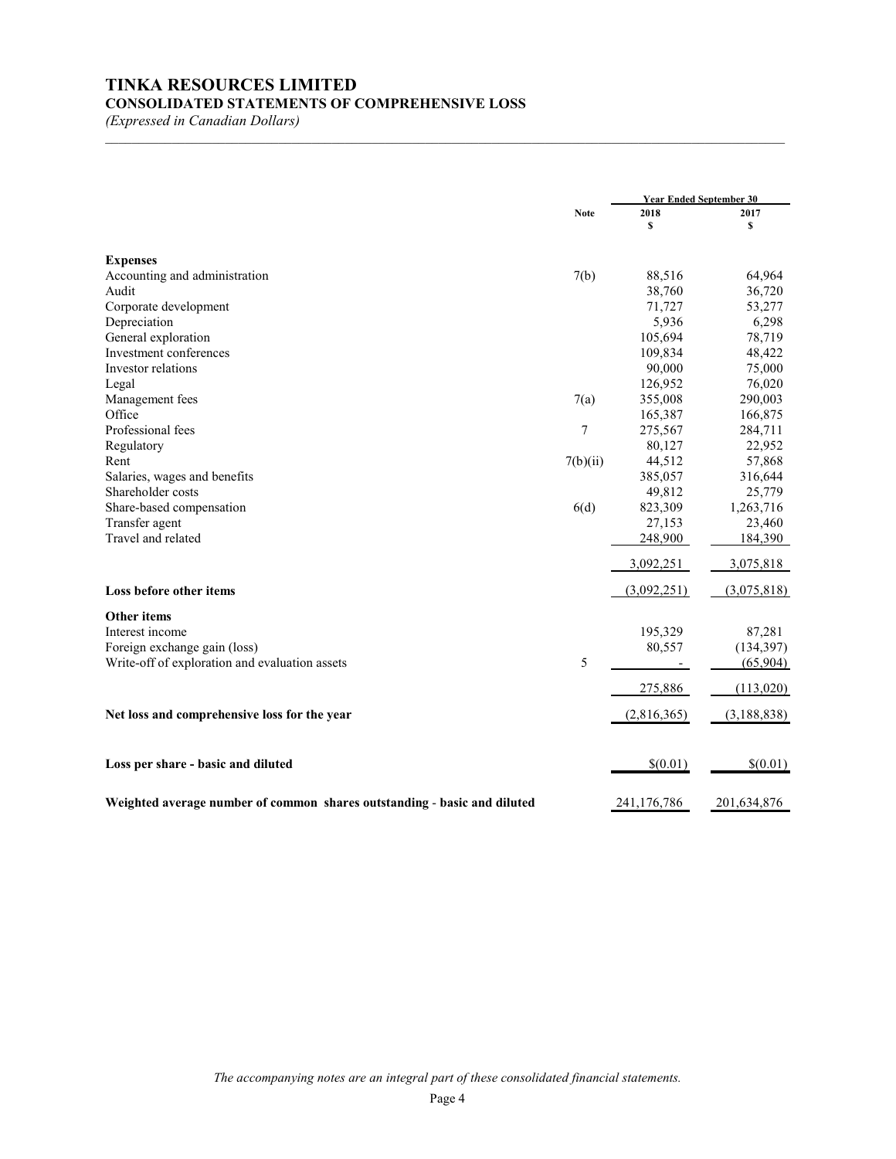## **TINKA RESOURCES LIMITED CONSOLIDATED STATEMENTS OF COMPREHENSIVE LOSS**

*(Expressed in Canadian Dollars)*

|                                                                          |             | <b>Year Ended September 30</b> |             |  |
|--------------------------------------------------------------------------|-------------|--------------------------------|-------------|--|
|                                                                          | <b>Note</b> | 2018<br>\$                     | 2017<br>\$  |  |
|                                                                          |             |                                |             |  |
| <b>Expenses</b>                                                          |             |                                |             |  |
| Accounting and administration                                            | 7(b)        | 88,516                         | 64,964      |  |
| Audit                                                                    |             | 38,760                         | 36,720      |  |
| Corporate development                                                    |             | 71,727                         | 53,277      |  |
| Depreciation                                                             |             | 5,936                          | 6,298       |  |
| General exploration                                                      |             | 105,694                        | 78,719      |  |
| Investment conferences                                                   |             | 109,834                        | 48,422      |  |
| Investor relations                                                       |             | 90,000                         | 75,000      |  |
| Legal                                                                    |             | 126,952                        | 76,020      |  |
| Management fees                                                          | 7(a)        | 355,008                        | 290,003     |  |
| Office                                                                   |             | 165,387                        | 166,875     |  |
| Professional fees                                                        | 7           | 275,567                        | 284,711     |  |
| Regulatory                                                               |             | 80,127                         | 22,952      |  |
| Rent                                                                     | 7(b)(ii)    | 44,512                         | 57,868      |  |
| Salaries, wages and benefits                                             |             | 385,057                        | 316,644     |  |
| Shareholder costs                                                        |             | 49,812                         | 25,779      |  |
| Share-based compensation                                                 | 6(d)        | 823,309                        | 1,263,716   |  |
| Transfer agent                                                           |             | 27,153                         | 23,460      |  |
| Travel and related                                                       |             | 248,900                        | 184,390     |  |
|                                                                          |             | 3,092,251                      | 3,075,818   |  |
|                                                                          |             |                                |             |  |
| Loss before other items                                                  |             | (3,092,251)                    | (3,075,818) |  |
| <b>Other items</b>                                                       |             |                                |             |  |
| Interest income                                                          |             | 195,329                        | 87,281      |  |
| Foreign exchange gain (loss)                                             |             | 80,557                         | (134, 397)  |  |
| Write-off of exploration and evaluation assets                           | 5           |                                | (65,904)    |  |
|                                                                          |             | 275,886                        | (113, 020)  |  |
| Net loss and comprehensive loss for the year                             |             | (2,816,365)                    | (3,188,838) |  |
| Loss per share - basic and diluted                                       |             | \$(0.01)                       | \$(0.01)    |  |
| Weighted average number of common shares outstanding - basic and diluted |             | 241,176,786                    | 201,634,876 |  |

 $\mathcal{L}_\text{max} = \mathcal{L}_\text{max} = \mathcal{L}_\text{max} = \mathcal{L}_\text{max} = \mathcal{L}_\text{max} = \mathcal{L}_\text{max} = \mathcal{L}_\text{max} = \mathcal{L}_\text{max} = \mathcal{L}_\text{max} = \mathcal{L}_\text{max} = \mathcal{L}_\text{max} = \mathcal{L}_\text{max} = \mathcal{L}_\text{max} = \mathcal{L}_\text{max} = \mathcal{L}_\text{max} = \mathcal{L}_\text{max} = \mathcal{L}_\text{max} = \mathcal{L}_\text{max} = \mathcal{$ 

*The accompanying notes are an integral part of these consolidated financial statements.*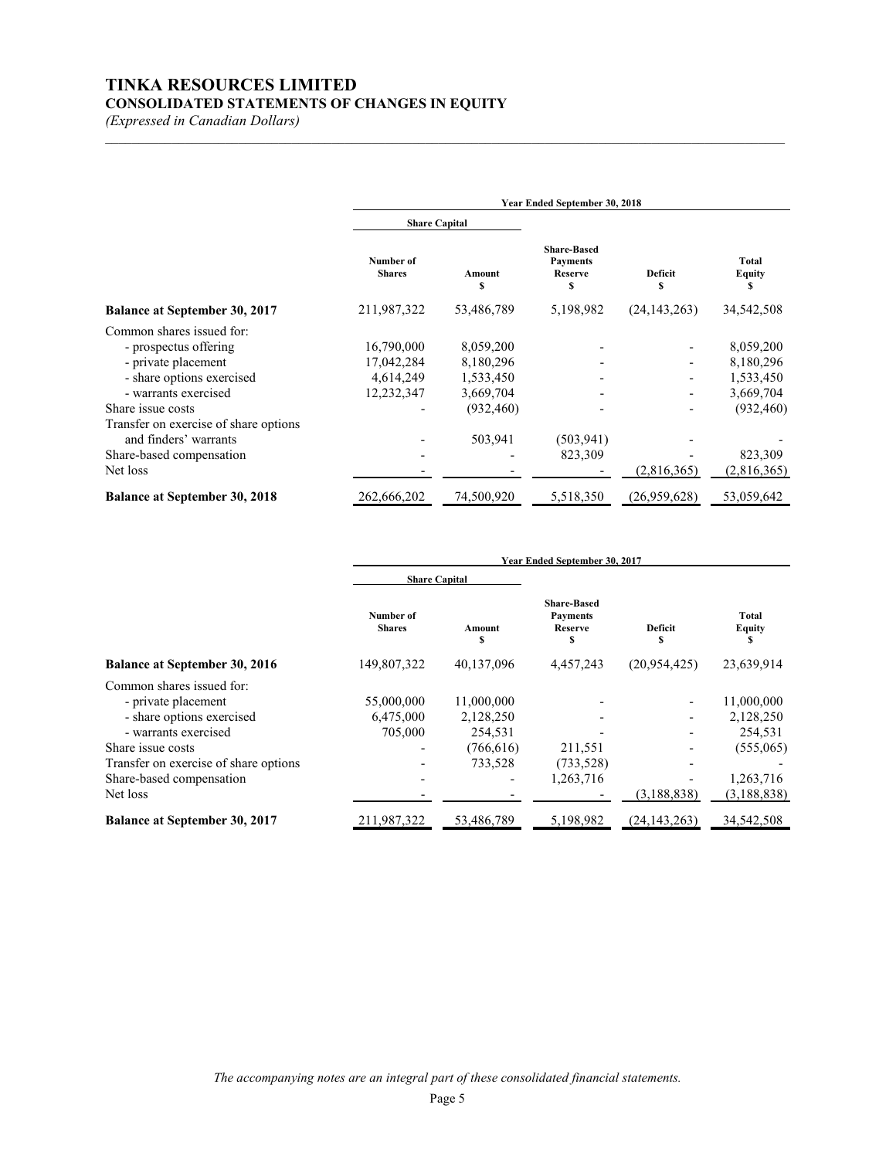## **TINKA RESOURCES LIMITED CONSOLIDATED STATEMENTS OF CHANGES IN EQUITY**

*(Expressed in Canadian Dollars)*

|                                       | Year Ended September 30, 2018 |                    |                                                       |                |                                    |
|---------------------------------------|-------------------------------|--------------------|-------------------------------------------------------|----------------|------------------------------------|
|                                       | <b>Share Capital</b>          |                    |                                                       |                |                                    |
|                                       | Number of<br><b>Shares</b>    | <b>Amount</b><br>S | <b>Share-Based</b><br><b>Payments</b><br>Reserve<br>S | Deficit<br>\$  | <b>Total</b><br><b>Equity</b><br>s |
| <b>Balance at September 30, 2017</b>  | 211,987,322                   | 53,486,789         | 5,198,982                                             | (24, 143, 263) | 34,542,508                         |
| Common shares issued for:             |                               |                    |                                                       |                |                                    |
| - prospectus offering                 | 16,790,000                    | 8,059,200          |                                                       |                | 8,059,200                          |
| - private placement                   | 17,042,284                    | 8,180,296          |                                                       |                | 8,180,296                          |
| - share options exercised             | 4,614,249                     | 1,533,450          |                                                       |                | 1,533,450                          |
| - warrants exercised                  | 12,232,347                    | 3,669,704          |                                                       |                | 3,669,704                          |
| Share issue costs                     |                               | (932, 460)         |                                                       |                | (932, 460)                         |
| Transfer on exercise of share options |                               |                    |                                                       |                |                                    |
| and finders' warrants                 |                               | 503,941            | (503, 941)                                            |                |                                    |
| Share-based compensation              |                               |                    | 823,309                                               |                | 823,309                            |
| Net loss                              |                               |                    |                                                       | (2,816,365)    | (2,816,365)                        |
| <b>Balance at September 30, 2018</b>  | 262,666,202                   | 74,500,920         | 5,518,350                                             | (26,959,628)   | 53,059,642                         |

 $\mathcal{L}_\text{max} = \mathcal{L}_\text{max} = \mathcal{L}_\text{max} = \mathcal{L}_\text{max} = \mathcal{L}_\text{max} = \mathcal{L}_\text{max} = \mathcal{L}_\text{max} = \mathcal{L}_\text{max} = \mathcal{L}_\text{max} = \mathcal{L}_\text{max} = \mathcal{L}_\text{max} = \mathcal{L}_\text{max} = \mathcal{L}_\text{max} = \mathcal{L}_\text{max} = \mathcal{L}_\text{max} = \mathcal{L}_\text{max} = \mathcal{L}_\text{max} = \mathcal{L}_\text{max} = \mathcal{$ 

|                                       | Year Ended September 30, 2017 |             |                                                         |                |                        |
|---------------------------------------|-------------------------------|-------------|---------------------------------------------------------|----------------|------------------------|
|                                       | <b>Share Capital</b>          |             |                                                         |                |                        |
|                                       | Number of<br><b>Shares</b>    | Amount<br>9 | <b>Share-Based</b><br><b>Payments</b><br><b>Reserve</b> | <b>Deficit</b> | <b>Total</b><br>Equity |
| <b>Balance at September 30, 2016</b>  | 149,807,322                   | 40,137,096  | 4,457,243                                               | (20,954,425)   | 23,639,914             |
| Common shares issued for:             |                               |             |                                                         |                |                        |
| - private placement                   | 55,000,000                    | 11,000,000  |                                                         |                | 11,000,000             |
| - share options exercised             | 6,475,000                     | 2,128,250   |                                                         |                | 2,128,250              |
| - warrants exercised                  | 705,000                       | 254,531     |                                                         |                | 254,531                |
| Share issue costs                     |                               | (766, 616)  | 211,551                                                 |                | (555,065)              |
| Transfer on exercise of share options |                               | 733,528     | (733, 528)                                              |                |                        |
| Share-based compensation              |                               |             | 1,263,716                                               |                | 1,263,716              |
| Net loss                              |                               |             |                                                         | (3, 188, 838)  | (3, 188, 838)          |
| <b>Balance at September 30, 2017</b>  | 211,987,322                   | 53,486,789  | 5,198,982                                               | (24, 143, 263) | 34,542,508             |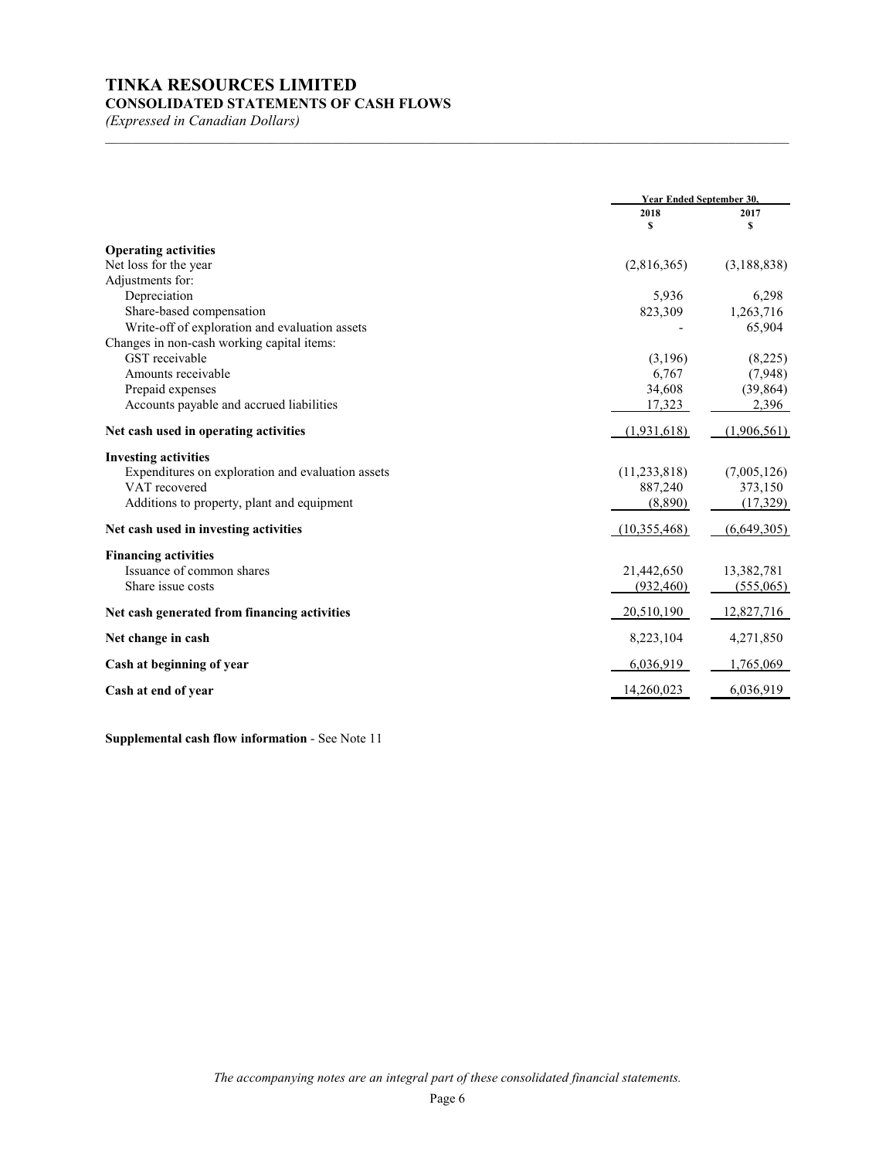# **TINKA RESOURCES LIMITED**

## **CONSOLIDATED STATEMENTS OF CASH FLOWS**

*(Expressed in Canadian Dollars)*

|                                                              | <b>Year Ended September 30.</b> |                    |
|--------------------------------------------------------------|---------------------------------|--------------------|
|                                                              | 2018<br>\$                      | 2017<br>S          |
|                                                              |                                 |                    |
| <b>Operating activities</b><br>Net loss for the year         | (2,816,365)                     | (3,188,838)        |
| Adjustments for:                                             |                                 |                    |
| Depreciation                                                 | 5,936                           | 6,298              |
| Share-based compensation                                     | 823,309                         | 1,263,716          |
| Write-off of exploration and evaluation assets               |                                 | 65,904             |
|                                                              |                                 |                    |
| Changes in non-cash working capital items:<br>GST receivable |                                 |                    |
| Amounts receivable                                           | (3,196)<br>6,767                | (8,225)<br>(7,948) |
|                                                              |                                 |                    |
| Prepaid expenses                                             | 34,608                          | (39, 864)          |
| Accounts payable and accrued liabilities                     | 17,323                          | 2,396              |
| Net cash used in operating activities                        | (1,931,618)                     | (1,906,561)        |
| <b>Investing activities</b>                                  |                                 |                    |
| Expenditures on exploration and evaluation assets            | (11, 233, 818)                  | (7,005,126)        |
| VAT recovered                                                | 887,240                         | 373,150            |
| Additions to property, plant and equipment                   | (8,890)                         | (17,329)           |
| Net cash used in investing activities                        | (10,355,468)                    | (6,649,305)        |
|                                                              |                                 |                    |
| <b>Financing activities</b>                                  |                                 |                    |
| Issuance of common shares                                    | 21,442,650                      | 13,382,781         |
| Share issue costs                                            | (932, 460)                      | (555,065)          |
| Net cash generated from financing activities                 | 20,510,190                      | 12,827,716         |
| Net change in cash                                           | 8,223,104                       | 4,271,850          |
| Cash at beginning of year                                    | 6,036,919                       | 1,765,069          |
| Cash at end of year                                          | 14,260,023                      | 6,036,919          |

\_\_\_\_\_\_\_\_\_\_\_\_\_\_\_\_\_\_\_\_\_\_\_\_\_\_\_\_\_\_\_\_\_\_\_\_\_\_\_\_\_\_\_\_\_\_\_\_\_\_\_\_\_\_\_\_\_\_\_\_\_\_\_\_\_\_\_\_\_\_\_\_\_\_\_\_\_\_\_\_\_\_\_\_\_\_\_\_\_\_\_\_\_\_\_\_\_\_\_\_\_\_\_

**Supplemental cash flow information** - See Note 11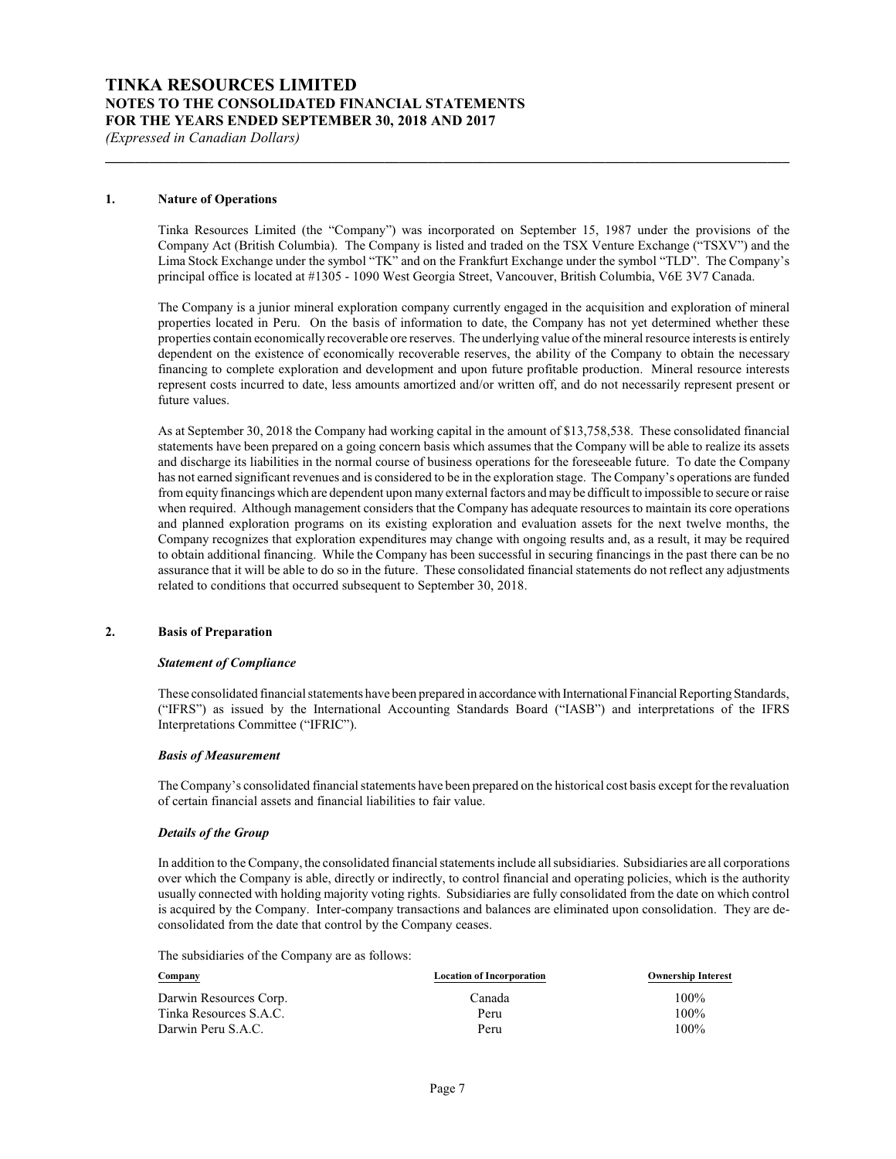## **TINKA RESOURCES LIMITED NOTES TO THE CONSOLIDATED FINANCIAL STATEMENTS FOR THE YEARS ENDED SEPTEMBER 30, 2018 AND 2017**

*(Expressed in Canadian Dollars)*

#### **1. Nature of Operations**

Tinka Resources Limited (the "Company") was incorporated on September 15, 1987 under the provisions of the Company Act (British Columbia). The Company is listed and traded on the TSX Venture Exchange ("TSXV") and the Lima Stock Exchange under the symbol "TK" and on the Frankfurt Exchange under the symbol "TLD". The Company's principal office is located at #1305 - 1090 West Georgia Street, Vancouver, British Columbia, V6E 3V7 Canada.

**\_\_\_\_\_\_\_\_\_\_\_\_\_\_\_\_\_\_\_\_\_\_\_\_\_\_\_\_\_\_\_\_\_\_\_\_\_\_\_\_\_\_\_\_\_\_\_\_\_\_\_\_\_\_\_\_\_\_\_\_\_\_\_\_\_\_\_\_\_\_\_\_\_\_\_\_\_\_\_\_\_\_\_\_\_\_\_\_\_\_\_\_\_**

The Company is a junior mineral exploration company currently engaged in the acquisition and exploration of mineral properties located in Peru. On the basis of information to date, the Company has not yet determined whether these properties contain economically recoverable ore reserves. The underlying value of the mineral resource interests is entirely dependent on the existence of economically recoverable reserves, the ability of the Company to obtain the necessary financing to complete exploration and development and upon future profitable production. Mineral resource interests represent costs incurred to date, less amounts amortized and/or written off, and do not necessarily represent present or future values.

As at September 30, 2018 the Company had working capital in the amount of \$13,758,538. These consolidated financial statements have been prepared on a going concern basis which assumes that the Company will be able to realize its assets and discharge its liabilities in the normal course of business operations for the foreseeable future. To date the Company has not earned significant revenues and is considered to be in the exploration stage. The Company's operations are funded from equity financings which are dependent upon many external factors and may be difficult to impossible to secure or raise when required. Although management considers that the Company has adequate resources to maintain its core operations and planned exploration programs on its existing exploration and evaluation assets for the next twelve months, the Company recognizes that exploration expenditures may change with ongoing results and, as a result, it may be required to obtain additional financing. While the Company has been successful in securing financings in the past there can be no assurance that it will be able to do so in the future. These consolidated financial statements do not reflect any adjustments related to conditions that occurred subsequent to September 30, 2018.

#### **2. Basis of Preparation**

#### *Statement of Compliance*

These consolidated financial statements have been prepared in accordance with International Financial Reporting Standards, ("IFRS") as issued by the International Accounting Standards Board ("IASB") and interpretations of the IFRS Interpretations Committee ("IFRIC").

#### *Basis of Measurement*

The Company's consolidated financial statements have been prepared on the historical cost basis except for the revaluation of certain financial assets and financial liabilities to fair value.

#### *Details of the Group*

In addition to the Company, the consolidated financial statements include all subsidiaries. Subsidiaries are all corporations over which the Company is able, directly or indirectly, to control financial and operating policies, which is the authority usually connected with holding majority voting rights. Subsidiaries are fully consolidated from the date on which control is acquired by the Company. Inter-company transactions and balances are eliminated upon consolidation. They are deconsolidated from the date that control by the Company ceases.

The subsidiaries of the Company are as follows:

| Company                | <b>Location of Incorporation</b> | <b>Ownership Interest</b> |
|------------------------|----------------------------------|---------------------------|
| Darwin Resources Corp. | Canada                           | $100\%$                   |
| Tinka Resources S.A.C. | Peru                             | $100\%$                   |
| Darwin Peru S.A.C.     | Peru                             | $100\%$                   |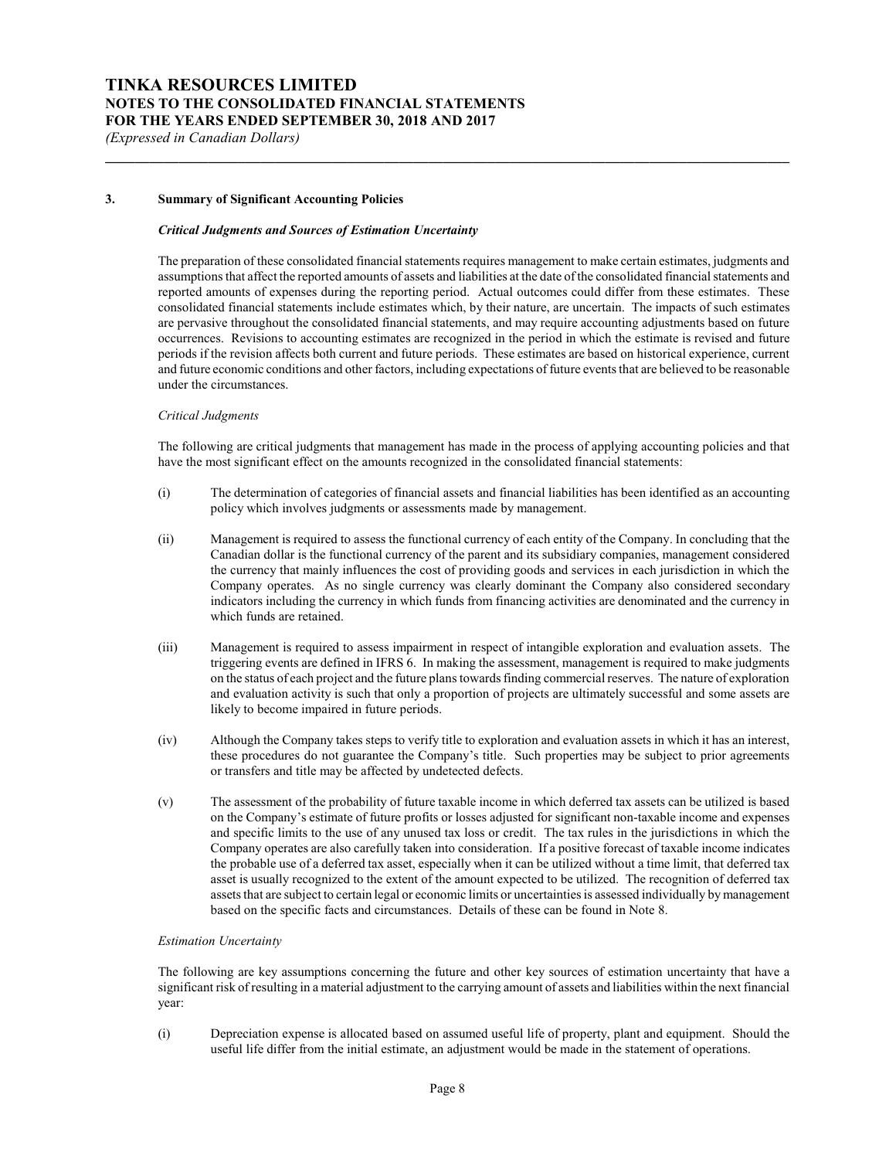#### **3. Summary of Significant Accounting Policies**

#### *Critical Judgments and Sources of Estimation Uncertainty*

The preparation of these consolidated financial statements requires management to make certain estimates, judgments and assumptions that affect the reported amounts of assets and liabilities at the date of the consolidated financial statements and reported amounts of expenses during the reporting period. Actual outcomes could differ from these estimates. These consolidated financial statements include estimates which, by their nature, are uncertain. The impacts of such estimates are pervasive throughout the consolidated financial statements, and may require accounting adjustments based on future occurrences. Revisions to accounting estimates are recognized in the period in which the estimate is revised and future periods if the revision affects both current and future periods. These estimates are based on historical experience, current and future economic conditions and other factors, including expectations of future events that are believed to be reasonable under the circumstances.

**\_\_\_\_\_\_\_\_\_\_\_\_\_\_\_\_\_\_\_\_\_\_\_\_\_\_\_\_\_\_\_\_\_\_\_\_\_\_\_\_\_\_\_\_\_\_\_\_\_\_\_\_\_\_\_\_\_\_\_\_\_\_\_\_\_\_\_\_\_\_\_\_\_\_\_\_\_\_\_\_\_\_\_\_\_\_\_\_\_\_\_\_\_**

#### *Critical Judgments*

The following are critical judgments that management has made in the process of applying accounting policies and that have the most significant effect on the amounts recognized in the consolidated financial statements:

- (i) The determination of categories of financial assets and financial liabilities has been identified as an accounting policy which involves judgments or assessments made by management.
- (ii) Management is required to assess the functional currency of each entity of the Company. In concluding that the Canadian dollar is the functional currency of the parent and its subsidiary companies, management considered the currency that mainly influences the cost of providing goods and services in each jurisdiction in which the Company operates. As no single currency was clearly dominant the Company also considered secondary indicators including the currency in which funds from financing activities are denominated and the currency in which funds are retained.
- (iii) Management is required to assess impairment in respect of intangible exploration and evaluation assets. The triggering events are defined in IFRS 6. In making the assessment, management is required to make judgments on the status of each project and the future plans towards finding commercial reserves. The nature of exploration and evaluation activity is such that only a proportion of projects are ultimately successful and some assets are likely to become impaired in future periods.
- (iv) Although the Company takes steps to verify title to exploration and evaluation assets in which it has an interest, these procedures do not guarantee the Company's title. Such properties may be subject to prior agreements or transfers and title may be affected by undetected defects.
- (v) The assessment of the probability of future taxable income in which deferred tax assets can be utilized is based on the Company's estimate of future profits or losses adjusted for significant non-taxable income and expenses and specific limits to the use of any unused tax loss or credit. The tax rules in the jurisdictions in which the Company operates are also carefully taken into consideration. If a positive forecast of taxable income indicates the probable use of a deferred tax asset, especially when it can be utilized without a time limit, that deferred tax asset is usually recognized to the extent of the amount expected to be utilized. The recognition of deferred tax assets that are subject to certain legal or economic limits or uncertainties is assessed individually by management based on the specific facts and circumstances. Details of these can be found in Note 8.

#### *Estimation Uncertainty*

The following are key assumptions concerning the future and other key sources of estimation uncertainty that have a significant risk of resulting in a material adjustment to the carrying amount of assets and liabilities within the next financial year:

(i) Depreciation expense is allocated based on assumed useful life of property, plant and equipment. Should the useful life differ from the initial estimate, an adjustment would be made in the statement of operations.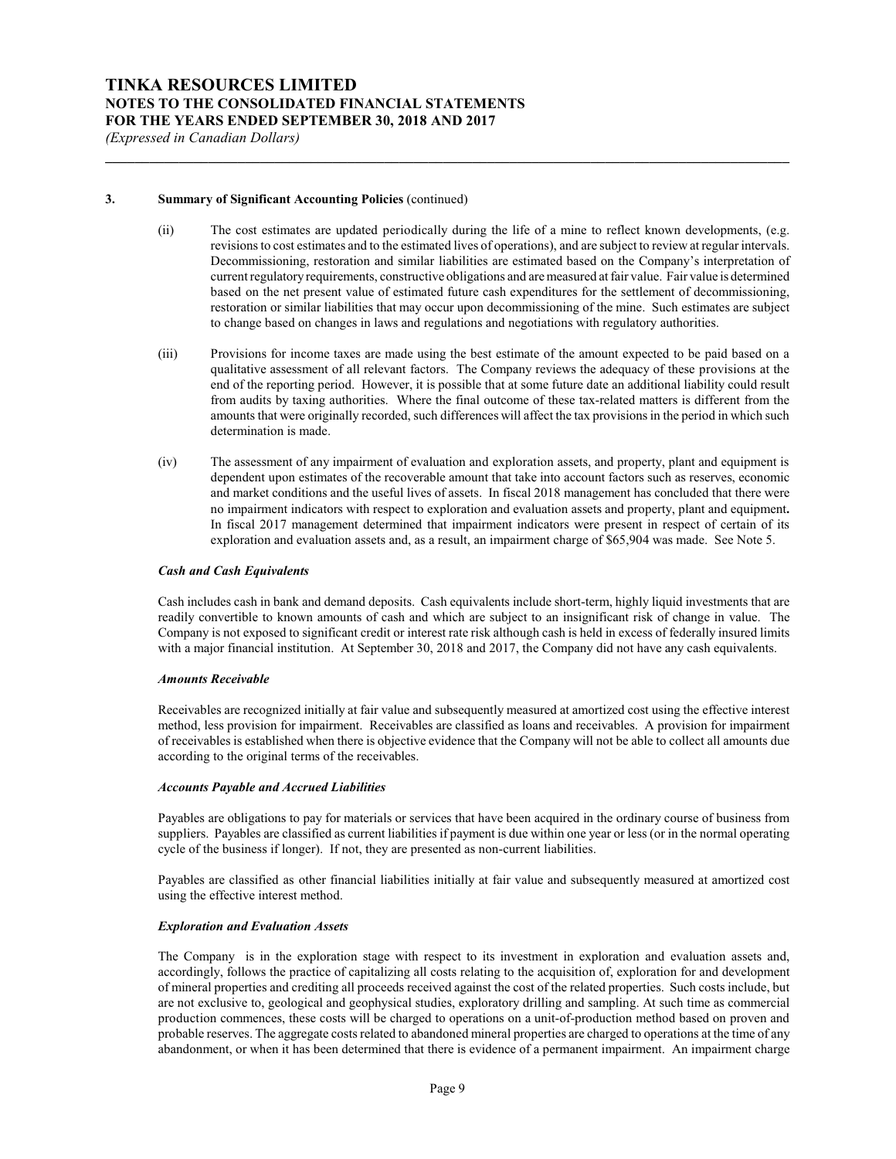#### **3. Summary of Significant Accounting Policies** (continued)

(ii) The cost estimates are updated periodically during the life of a mine to reflect known developments, (e.g. revisions to cost estimates and to the estimated lives of operations), and are subject to review at regular intervals. Decommissioning, restoration and similar liabilities are estimated based on the Company's interpretation of current regulatory requirements, constructive obligations and are measured at fair value. Fair value is determined based on the net present value of estimated future cash expenditures for the settlement of decommissioning, restoration or similar liabilities that may occur upon decommissioning of the mine. Such estimates are subject to change based on changes in laws and regulations and negotiations with regulatory authorities.

**\_\_\_\_\_\_\_\_\_\_\_\_\_\_\_\_\_\_\_\_\_\_\_\_\_\_\_\_\_\_\_\_\_\_\_\_\_\_\_\_\_\_\_\_\_\_\_\_\_\_\_\_\_\_\_\_\_\_\_\_\_\_\_\_\_\_\_\_\_\_\_\_\_\_\_\_\_\_\_\_\_\_\_\_\_\_\_\_\_\_\_\_\_**

- (iii) Provisions for income taxes are made using the best estimate of the amount expected to be paid based on a qualitative assessment of all relevant factors. The Company reviews the adequacy of these provisions at the end of the reporting period. However, it is possible that at some future date an additional liability could result from audits by taxing authorities. Where the final outcome of these tax-related matters is different from the amounts that were originally recorded, such differences will affect the tax provisions in the period in which such determination is made.
- (iv) The assessment of any impairment of evaluation and exploration assets, and property, plant and equipment is dependent upon estimates of the recoverable amount that take into account factors such as reserves, economic and market conditions and the useful lives of assets. In fiscal 2018 management has concluded that there were no impairment indicators with respect to exploration and evaluation assets and property, plant and equipment**.**  In fiscal 2017 management determined that impairment indicators were present in respect of certain of its exploration and evaluation assets and, as a result, an impairment charge of \$65,904 was made. See Note 5.

#### *Cash and Cash Equivalents*

Cash includes cash in bank and demand deposits. Cash equivalents include short-term, highly liquid investments that are readily convertible to known amounts of cash and which are subject to an insignificant risk of change in value. The Company is not exposed to significant credit or interest rate risk although cash is held in excess of federally insured limits with a major financial institution. At September 30, 2018 and 2017, the Company did not have any cash equivalents.

#### *Amounts Receivable*

Receivables are recognized initially at fair value and subsequently measured at amortized cost using the effective interest method, less provision for impairment. Receivables are classified as loans and receivables. A provision for impairment of receivables is established when there is objective evidence that the Company will not be able to collect all amounts due according to the original terms of the receivables.

#### *Accounts Payable and Accrued Liabilities*

Payables are obligations to pay for materials or services that have been acquired in the ordinary course of business from suppliers. Payables are classified as current liabilities if payment is due within one year or less (or in the normal operating cycle of the business if longer). If not, they are presented as non-current liabilities.

Payables are classified as other financial liabilities initially at fair value and subsequently measured at amortized cost using the effective interest method.

#### *Exploration and Evaluation Assets*

The Company is in the exploration stage with respect to its investment in exploration and evaluation assets and, accordingly, follows the practice of capitalizing all costs relating to the acquisition of, exploration for and development of mineral properties and crediting all proceeds received against the cost of the related properties. Such costs include, but are not exclusive to, geological and geophysical studies, exploratory drilling and sampling. At such time as commercial production commences, these costs will be charged to operations on a unit-of-production method based on proven and probable reserves. The aggregate costs related to abandoned mineral properties are charged to operations at the time of any abandonment, or when it has been determined that there is evidence of a permanent impairment. An impairment charge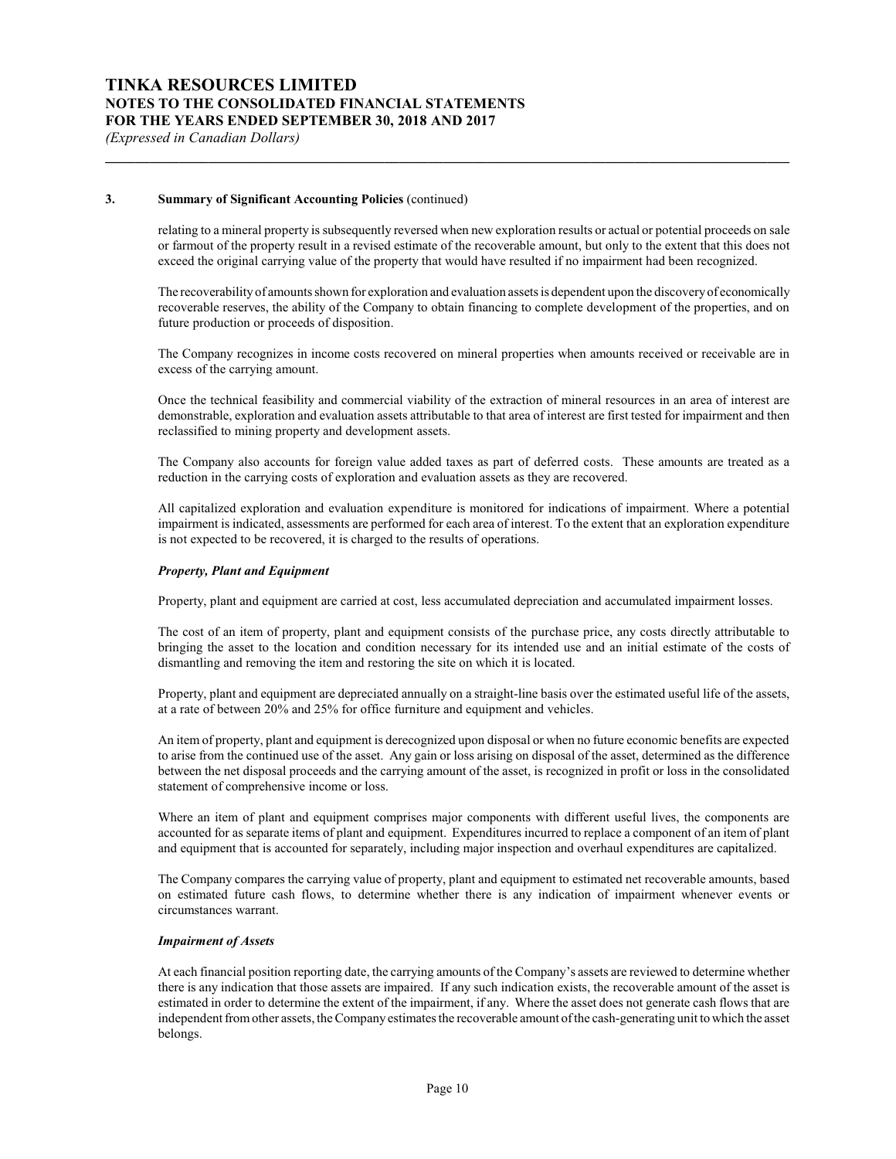#### **3. Summary of Significant Accounting Policies** (continued)

relating to a mineral property is subsequently reversed when new exploration results or actual or potential proceeds on sale or farmout of the property result in a revised estimate of the recoverable amount, but only to the extent that this does not exceed the original carrying value of the property that would have resulted if no impairment had been recognized.

**\_\_\_\_\_\_\_\_\_\_\_\_\_\_\_\_\_\_\_\_\_\_\_\_\_\_\_\_\_\_\_\_\_\_\_\_\_\_\_\_\_\_\_\_\_\_\_\_\_\_\_\_\_\_\_\_\_\_\_\_\_\_\_\_\_\_\_\_\_\_\_\_\_\_\_\_\_\_\_\_\_\_\_\_\_\_\_\_\_\_\_\_\_**

The recoverability of amounts shown for exploration and evaluation assets is dependent upon the discovery of economically recoverable reserves, the ability of the Company to obtain financing to complete development of the properties, and on future production or proceeds of disposition.

The Company recognizes in income costs recovered on mineral properties when amounts received or receivable are in excess of the carrying amount.

Once the technical feasibility and commercial viability of the extraction of mineral resources in an area of interest are demonstrable, exploration and evaluation assets attributable to that area of interest are first tested for impairment and then reclassified to mining property and development assets.

The Company also accounts for foreign value added taxes as part of deferred costs. These amounts are treated as a reduction in the carrying costs of exploration and evaluation assets as they are recovered.

All capitalized exploration and evaluation expenditure is monitored for indications of impairment. Where a potential impairment is indicated, assessments are performed for each area of interest. To the extent that an exploration expenditure is not expected to be recovered, it is charged to the results of operations.

#### *Property, Plant and Equipment*

Property, plant and equipment are carried at cost, less accumulated depreciation and accumulated impairment losses.

The cost of an item of property, plant and equipment consists of the purchase price, any costs directly attributable to bringing the asset to the location and condition necessary for its intended use and an initial estimate of the costs of dismantling and removing the item and restoring the site on which it is located.

Property, plant and equipment are depreciated annually on a straight-line basis over the estimated useful life of the assets, at a rate of between 20% and 25% for office furniture and equipment and vehicles.

An item of property, plant and equipment is derecognized upon disposal or when no future economic benefits are expected to arise from the continued use of the asset. Any gain or loss arising on disposal of the asset, determined as the difference between the net disposal proceeds and the carrying amount of the asset, is recognized in profit or loss in the consolidated statement of comprehensive income or loss.

Where an item of plant and equipment comprises major components with different useful lives, the components are accounted for as separate items of plant and equipment. Expenditures incurred to replace a component of an item of plant and equipment that is accounted for separately, including major inspection and overhaul expenditures are capitalized.

The Company compares the carrying value of property, plant and equipment to estimated net recoverable amounts, based on estimated future cash flows, to determine whether there is any indication of impairment whenever events or circumstances warrant.

#### *Impairment of Assets*

At each financial position reporting date, the carrying amounts of the Company's assets are reviewed to determine whether there is any indication that those assets are impaired. If any such indication exists, the recoverable amount of the asset is estimated in order to determine the extent of the impairment, if any. Where the asset does not generate cash flows that are independent from other assets, the Company estimates the recoverable amount of the cash-generating unit to which the asset belongs.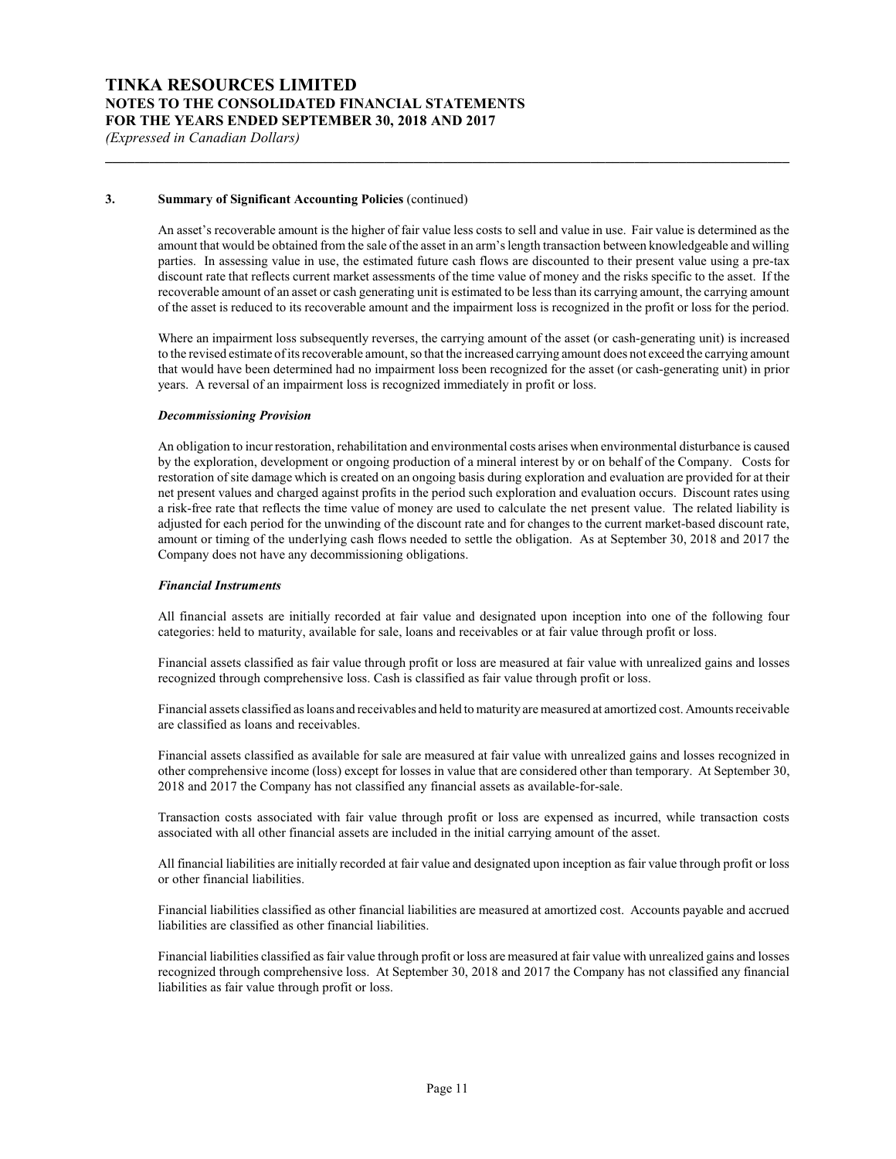## **TINKA RESOURCES LIMITED NOTES TO THE CONSOLIDATED FINANCIAL STATEMENTS FOR THE YEARS ENDED SEPTEMBER 30, 2018 AND 2017**

*(Expressed in Canadian Dollars)*

#### **3. Summary of Significant Accounting Policies** (continued)

An asset's recoverable amount is the higher of fair value less costs to sell and value in use. Fair value is determined as the amount that would be obtained from the sale of the asset in an arm's length transaction between knowledgeable and willing parties. In assessing value in use, the estimated future cash flows are discounted to their present value using a pre-tax discount rate that reflects current market assessments of the time value of money and the risks specific to the asset. If the recoverable amount of an asset or cash generating unit is estimated to be less than its carrying amount, the carrying amount of the asset is reduced to its recoverable amount and the impairment loss is recognized in the profit or loss for the period.

**\_\_\_\_\_\_\_\_\_\_\_\_\_\_\_\_\_\_\_\_\_\_\_\_\_\_\_\_\_\_\_\_\_\_\_\_\_\_\_\_\_\_\_\_\_\_\_\_\_\_\_\_\_\_\_\_\_\_\_\_\_\_\_\_\_\_\_\_\_\_\_\_\_\_\_\_\_\_\_\_\_\_\_\_\_\_\_\_\_\_\_\_\_**

Where an impairment loss subsequently reverses, the carrying amount of the asset (or cash-generating unit) is increased to the revised estimate of its recoverable amount, so that the increased carrying amount does not exceed the carrying amount that would have been determined had no impairment loss been recognized for the asset (or cash-generating unit) in prior years. A reversal of an impairment loss is recognized immediately in profit or loss.

#### *Decommissioning Provision*

An obligation to incur restoration, rehabilitation and environmental costs arises when environmental disturbance is caused by the exploration, development or ongoing production of a mineral interest by or on behalf of the Company. Costs for restoration of site damage which is created on an ongoing basis during exploration and evaluation are provided for at their net present values and charged against profits in the period such exploration and evaluation occurs. Discount rates using a risk-free rate that reflects the time value of money are used to calculate the net present value. The related liability is adjusted for each period for the unwinding of the discount rate and for changes to the current market-based discount rate, amount or timing of the underlying cash flows needed to settle the obligation. As at September 30, 2018 and 2017 the Company does not have any decommissioning obligations.

#### *Financial Instruments*

All financial assets are initially recorded at fair value and designated upon inception into one of the following four categories: held to maturity, available for sale, loans and receivables or at fair value through profit or loss.

Financial assets classified as fair value through profit or loss are measured at fair value with unrealized gains and losses recognized through comprehensive loss. Cash is classified as fair value through profit or loss.

Financial assets classified as loans and receivables and held to maturity are measured at amortized cost. Amounts receivable are classified as loans and receivables.

Financial assets classified as available for sale are measured at fair value with unrealized gains and losses recognized in other comprehensive income (loss) except for losses in value that are considered other than temporary. At September 30, 2018 and 2017 the Company has not classified any financial assets as available-for-sale.

Transaction costs associated with fair value through profit or loss are expensed as incurred, while transaction costs associated with all other financial assets are included in the initial carrying amount of the asset.

All financial liabilities are initially recorded at fair value and designated upon inception as fair value through profit or loss or other financial liabilities.

Financial liabilities classified as other financial liabilities are measured at amortized cost. Accounts payable and accrued liabilities are classified as other financial liabilities.

Financial liabilities classified as fair value through profit or loss are measured at fair value with unrealized gains and losses recognized through comprehensive loss. At September 30, 2018 and 2017 the Company has not classified any financial liabilities as fair value through profit or loss.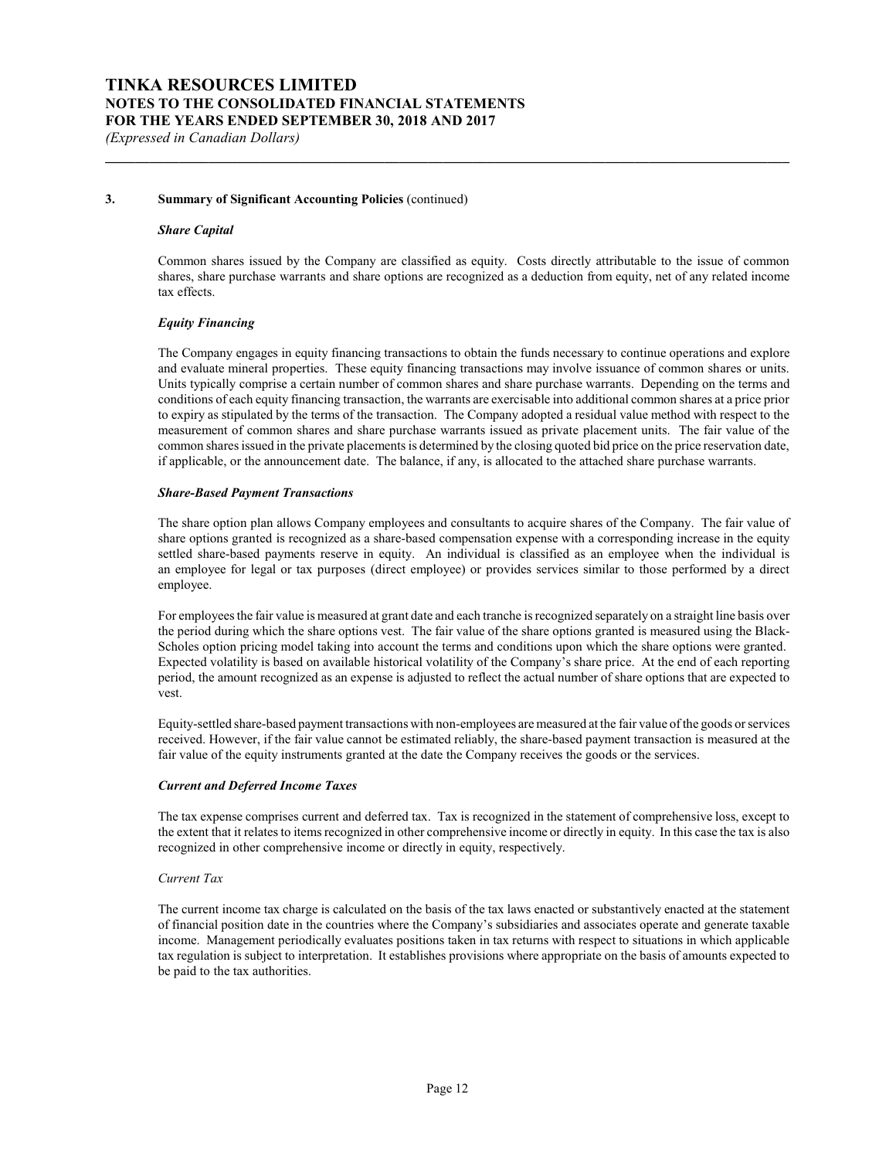#### **3. Summary of Significant Accounting Policies** (continued)

#### *Share Capital*

Common shares issued by the Company are classified as equity. Costs directly attributable to the issue of common shares, share purchase warrants and share options are recognized as a deduction from equity, net of any related income tax effects.

**\_\_\_\_\_\_\_\_\_\_\_\_\_\_\_\_\_\_\_\_\_\_\_\_\_\_\_\_\_\_\_\_\_\_\_\_\_\_\_\_\_\_\_\_\_\_\_\_\_\_\_\_\_\_\_\_\_\_\_\_\_\_\_\_\_\_\_\_\_\_\_\_\_\_\_\_\_\_\_\_\_\_\_\_\_\_\_\_\_\_\_\_\_**

#### *Equity Financing*

The Company engages in equity financing transactions to obtain the funds necessary to continue operations and explore and evaluate mineral properties. These equity financing transactions may involve issuance of common shares or units. Units typically comprise a certain number of common shares and share purchase warrants. Depending on the terms and conditions of each equity financing transaction, the warrants are exercisable into additional common shares at a price prior to expiry as stipulated by the terms of the transaction. The Company adopted a residual value method with respect to the measurement of common shares and share purchase warrants issued as private placement units. The fair value of the common shares issued in the private placements is determined by the closing quoted bid price on the price reservation date, if applicable, or the announcement date. The balance, if any, is allocated to the attached share purchase warrants.

#### *Share-Based Payment Transactions*

The share option plan allows Company employees and consultants to acquire shares of the Company. The fair value of share options granted is recognized as a share-based compensation expense with a corresponding increase in the equity settled share-based payments reserve in equity. An individual is classified as an employee when the individual is an employee for legal or tax purposes (direct employee) or provides services similar to those performed by a direct employee.

For employees the fair value is measured at grant date and each tranche is recognized separately on a straight line basis over the period during which the share options vest. The fair value of the share options granted is measured using the Black-Scholes option pricing model taking into account the terms and conditions upon which the share options were granted. Expected volatility is based on available historical volatility of the Company's share price. At the end of each reporting period, the amount recognized as an expense is adjusted to reflect the actual number of share options that are expected to vest.

Equity-settled share-based payment transactions with non-employees are measured at the fair value of the goods or services received. However, if the fair value cannot be estimated reliably, the share-based payment transaction is measured at the fair value of the equity instruments granted at the date the Company receives the goods or the services.

#### *Current and Deferred Income Taxes*

The tax expense comprises current and deferred tax. Tax is recognized in the statement of comprehensive loss, except to the extent that it relates to items recognized in other comprehensive income or directly in equity. In this case the tax is also recognized in other comprehensive income or directly in equity, respectively.

#### *Current Tax*

The current income tax charge is calculated on the basis of the tax laws enacted or substantively enacted at the statement of financial position date in the countries where the Company's subsidiaries and associates operate and generate taxable income. Management periodically evaluates positions taken in tax returns with respect to situations in which applicable tax regulation is subject to interpretation. It establishes provisions where appropriate on the basis of amounts expected to be paid to the tax authorities.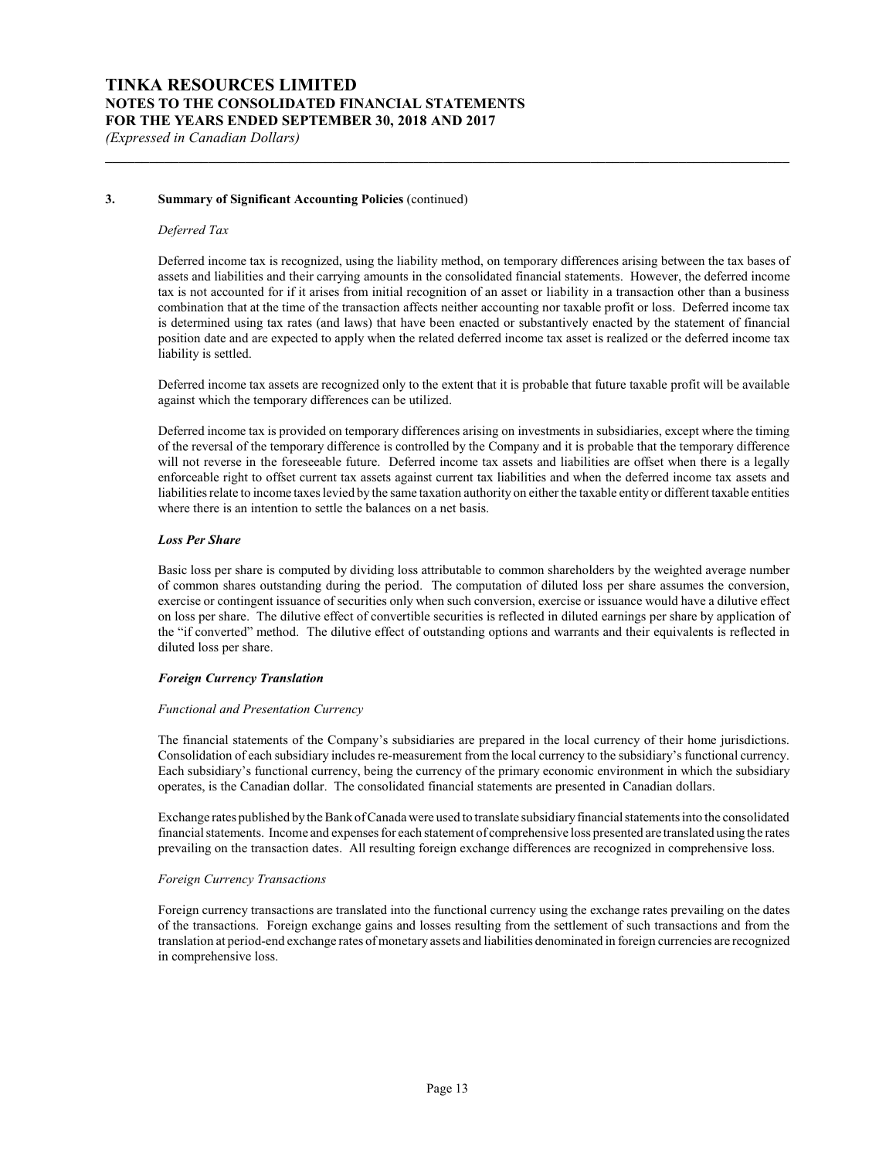#### **3. Summary of Significant Accounting Policies** (continued)

#### *Deferred Tax*

Deferred income tax is recognized, using the liability method, on temporary differences arising between the tax bases of assets and liabilities and their carrying amounts in the consolidated financial statements. However, the deferred income tax is not accounted for if it arises from initial recognition of an asset or liability in a transaction other than a business combination that at the time of the transaction affects neither accounting nor taxable profit or loss. Deferred income tax is determined using tax rates (and laws) that have been enacted or substantively enacted by the statement of financial position date and are expected to apply when the related deferred income tax asset is realized or the deferred income tax liability is settled.

**\_\_\_\_\_\_\_\_\_\_\_\_\_\_\_\_\_\_\_\_\_\_\_\_\_\_\_\_\_\_\_\_\_\_\_\_\_\_\_\_\_\_\_\_\_\_\_\_\_\_\_\_\_\_\_\_\_\_\_\_\_\_\_\_\_\_\_\_\_\_\_\_\_\_\_\_\_\_\_\_\_\_\_\_\_\_\_\_\_\_\_\_\_**

Deferred income tax assets are recognized only to the extent that it is probable that future taxable profit will be available against which the temporary differences can be utilized.

Deferred income tax is provided on temporary differences arising on investments in subsidiaries, except where the timing of the reversal of the temporary difference is controlled by the Company and it is probable that the temporary difference will not reverse in the foreseeable future. Deferred income tax assets and liabilities are offset when there is a legally enforceable right to offset current tax assets against current tax liabilities and when the deferred income tax assets and liabilities relate to income taxes levied by the same taxation authority on either the taxable entity or different taxable entities where there is an intention to settle the balances on a net basis.

#### *Loss Per Share*

Basic loss per share is computed by dividing loss attributable to common shareholders by the weighted average number of common shares outstanding during the period. The computation of diluted loss per share assumes the conversion, exercise or contingent issuance of securities only when such conversion, exercise or issuance would have a dilutive effect on loss per share. The dilutive effect of convertible securities is reflected in diluted earnings per share by application of the "if converted" method. The dilutive effect of outstanding options and warrants and their equivalents is reflected in diluted loss per share.

#### *Foreign Currency Translation*

#### *Functional and Presentation Currency*

The financial statements of the Company's subsidiaries are prepared in the local currency of their home jurisdictions. Consolidation of each subsidiary includes re-measurement from the local currency to the subsidiary's functional currency. Each subsidiary's functional currency, being the currency of the primary economic environment in which the subsidiary operates, is the Canadian dollar. The consolidated financial statements are presented in Canadian dollars.

Exchange rates published by the Bank of Canada were used to translate subsidiaryfinancial statements into the consolidated financial statements. Income and expenses for each statement of comprehensive loss presented are translated using the rates prevailing on the transaction dates. All resulting foreign exchange differences are recognized in comprehensive loss.

#### *Foreign Currency Transactions*

Foreign currency transactions are translated into the functional currency using the exchange rates prevailing on the dates of the transactions. Foreign exchange gains and losses resulting from the settlement of such transactions and from the translation at period-end exchange rates of monetary assets and liabilities denominated in foreign currencies are recognized in comprehensive loss.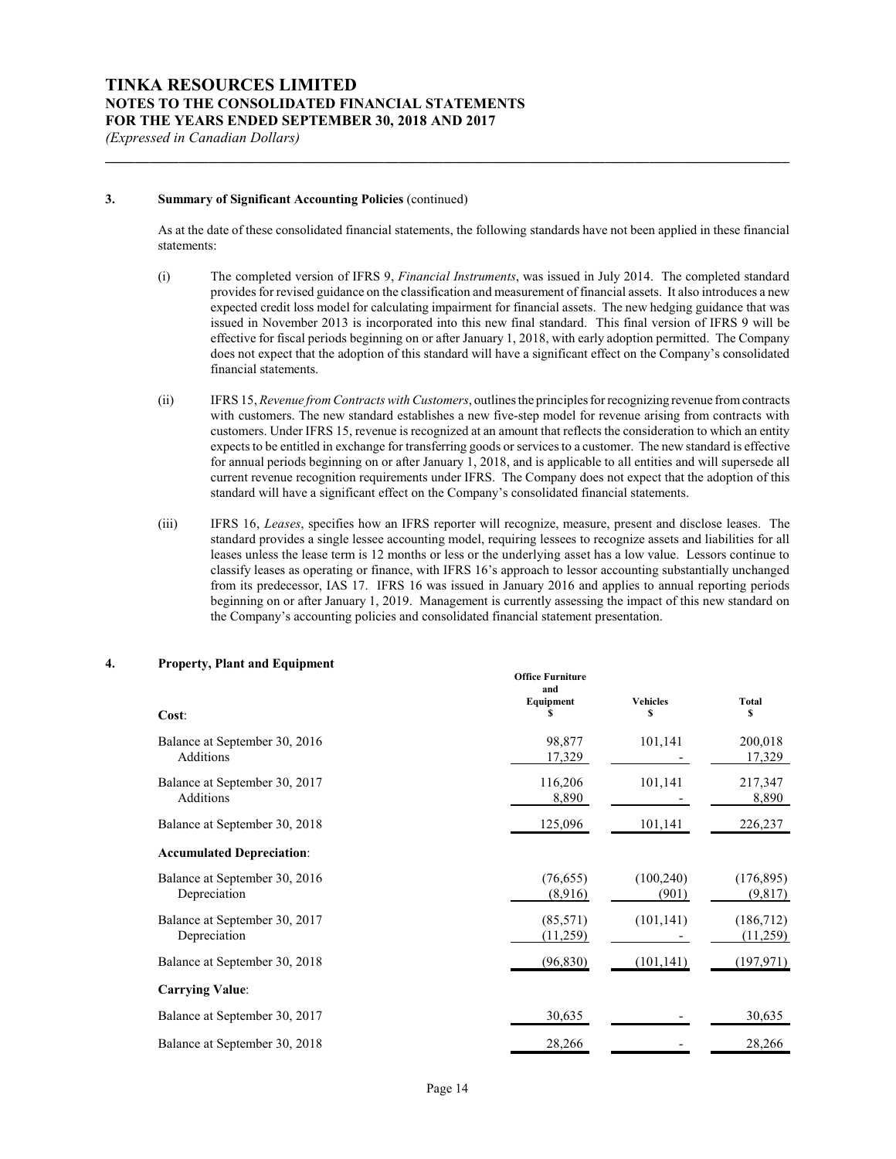#### **3. Summary of Significant Accounting Policies** (continued)

As at the date of these consolidated financial statements, the following standards have not been applied in these financial statements:

**\_\_\_\_\_\_\_\_\_\_\_\_\_\_\_\_\_\_\_\_\_\_\_\_\_\_\_\_\_\_\_\_\_\_\_\_\_\_\_\_\_\_\_\_\_\_\_\_\_\_\_\_\_\_\_\_\_\_\_\_\_\_\_\_\_\_\_\_\_\_\_\_\_\_\_\_\_\_\_\_\_\_\_\_\_\_\_\_\_\_\_\_\_**

- (i) The completed version of IFRS 9, *Financial Instruments*, was issued in July 2014. The completed standard provides for revised guidance on the classification and measurement of financial assets. It also introduces a new expected credit loss model for calculating impairment for financial assets. The new hedging guidance that was issued in November 2013 is incorporated into this new final standard. This final version of IFRS 9 will be effective for fiscal periods beginning on or after January 1, 2018, with early adoption permitted. The Company does not expect that the adoption of this standard will have a significant effect on the Company's consolidated financial statements.
- (ii) IFRS 15, *Revenue from Contracts with Customers*, outlines the principles for recognizing revenue from contracts with customers. The new standard establishes a new five-step model for revenue arising from contracts with customers. Under IFRS 15, revenue is recognized at an amount that reflects the consideration to which an entity expects to be entitled in exchange for transferring goods or services to a customer. The new standard is effective for annual periods beginning on or after January 1, 2018, and is applicable to all entities and will supersede all current revenue recognition requirements under IFRS. The Company does not expect that the adoption of this standard will have a significant effect on the Company's consolidated financial statements.
- (iii) IFRS 16, *Leases*, specifies how an IFRS reporter will recognize, measure, present and disclose leases. The standard provides a single lessee accounting model, requiring lessees to recognize assets and liabilities for all leases unless the lease term is 12 months or less or the underlying asset has a low value. Lessors continue to classify leases as operating or finance, with IFRS 16's approach to lessor accounting substantially unchanged from its predecessor, IAS 17. IFRS 16 was issued in January 2016 and applies to annual reporting periods beginning on or after January 1, 2019. Management is currently assessing the impact of this new standard on the Company's accounting policies and consolidated financial statement presentation.

#### **4. Property, Plant and Equipment**

|                                               | <b>Office Furniture</b><br>and<br>Equipment | <b>Vehicles</b>     | <b>Total</b>          |
|-----------------------------------------------|---------------------------------------------|---------------------|-----------------------|
| Cost:                                         | S                                           | \$                  | Ś                     |
| Balance at September 30, 2016<br>Additions    | 98,877<br>17,329                            | 101,141             | 200,018<br>17,329     |
| Balance at September 30, 2017<br>Additions    | 116,206<br>8,890                            | 101,141             | 217,347<br>8,890      |
| Balance at September 30, 2018                 | 125,096                                     | 101,141             | 226,237               |
| <b>Accumulated Depreciation:</b>              |                                             |                     |                       |
| Balance at September 30, 2016<br>Depreciation | (76, 655)<br>(8,916)                        | (100, 240)<br>(901) | (176, 895)<br>(9,817) |
| Balance at September 30, 2017<br>Depreciation | (85, 571)<br>(11,259)                       | (101, 141)          | (186,712)<br>(11,259) |
| Balance at September 30, 2018                 | (96, 830)                                   | (101, 141)          | (197, 971)            |
| <b>Carrying Value:</b>                        |                                             |                     |                       |
| Balance at September 30, 2017                 | 30,635                                      |                     | 30,635                |
| Balance at September 30, 2018                 | 28,266                                      |                     | 28,266                |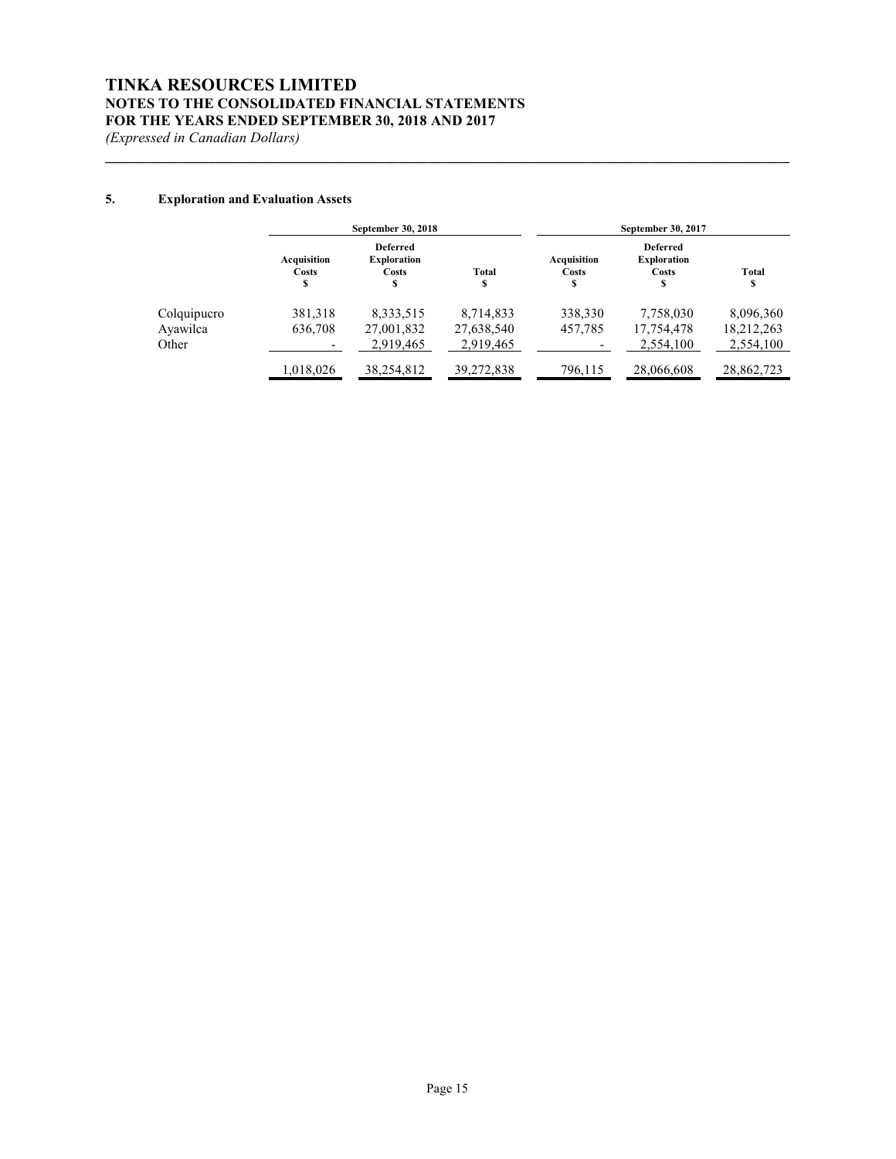## **TINKA RESOURCES LIMITED NOTES TO THE CONSOLIDATED FINANCIAL STATEMENTS FOR THE YEARS ENDED SEPTEMBER 30, 2018 AND 2017**

*(Expressed in Canadian Dollars)*

## **5. Exploration and Evaluation Assets**

|             | September 30, 2018         |                                                     |             | September 30, 2017        |                                                      |             |
|-------------|----------------------------|-----------------------------------------------------|-------------|---------------------------|------------------------------------------------------|-------------|
|             | Acquisition<br>Costs<br>\$ | <b>Deferred</b><br><b>Exploration</b><br>Costs<br>s | Total<br>\$ | Acquisition<br>Costs<br>S | <b>Deferred</b><br><b>Exploration</b><br>Costs<br>\$ | Total<br>\$ |
| Colquipucro | 381,318                    | 8,333,515                                           | 8,714,833   | 338,330                   | 7,758,030                                            | 8,096,360   |
| Ayawilca    | 636,708                    | 27,001,832                                          | 27,638,540  | 457,785                   | 17,754,478                                           | 18,212,263  |
| Other       |                            | 2,919,465                                           | 2,919,465   |                           | 2,554,100                                            | 2,554,100   |
|             | 1.018.026                  | 38.254.812                                          | 39,272,838  | 796.115                   | 28,066,608                                           | 28,862,723  |

**\_\_\_\_\_\_\_\_\_\_\_\_\_\_\_\_\_\_\_\_\_\_\_\_\_\_\_\_\_\_\_\_\_\_\_\_\_\_\_\_\_\_\_\_\_\_\_\_\_\_\_\_\_\_\_\_\_\_\_\_\_\_\_\_\_\_\_\_\_\_\_\_\_\_\_\_\_\_\_\_\_\_\_\_\_\_\_\_\_\_\_\_\_**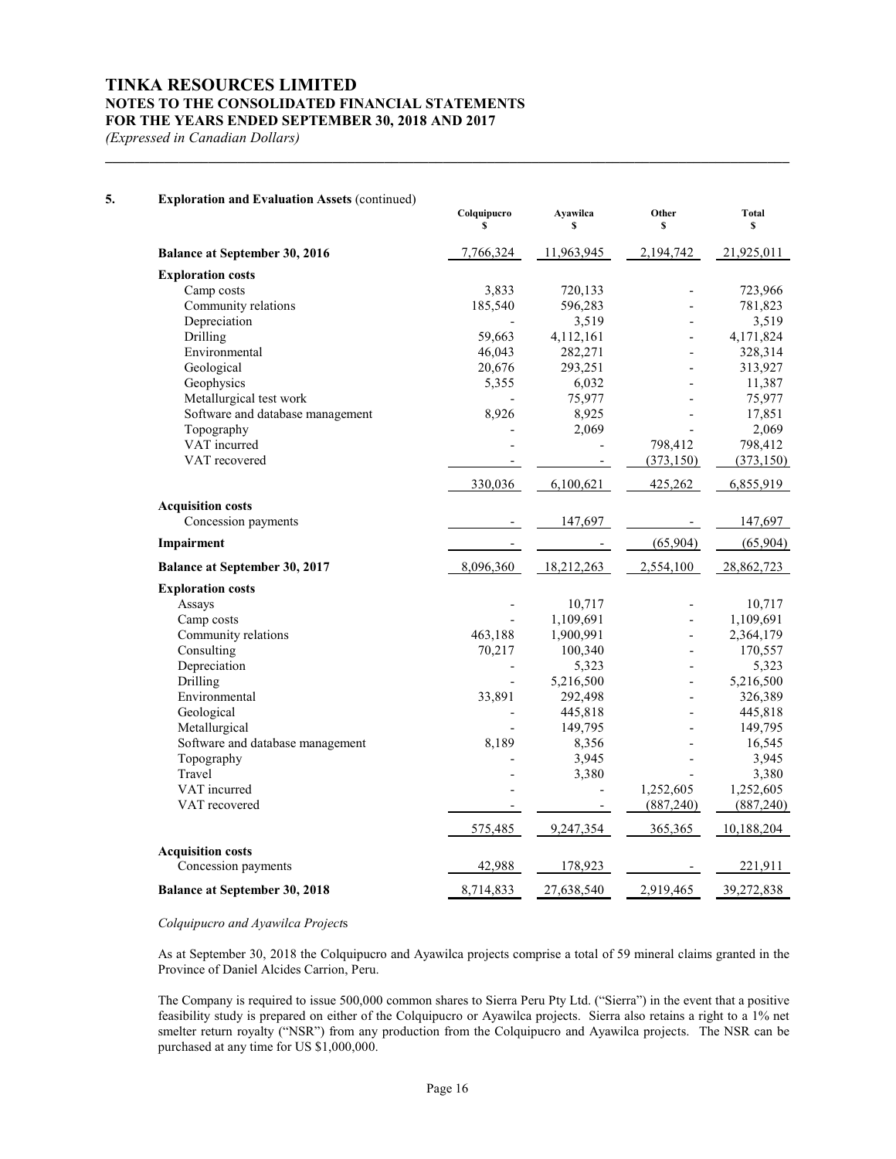## **TINKA RESOURCES LIMITED NOTES TO THE CONSOLIDATED FINANCIAL STATEMENTS FOR THE YEARS ENDED SEPTEMBER 30, 2018 AND 2017**

*(Expressed in Canadian Dollars)*

| 5. | <b>Exploration and Evaluation Assets (continued)</b> |                   |                |                |                    |
|----|------------------------------------------------------|-------------------|----------------|----------------|--------------------|
|    |                                                      | Colquipucro<br>\$ | Ayawilca<br>\$ | Other<br>\$    | <b>Total</b><br>\$ |
|    | <b>Balance at September 30, 2016</b>                 | 7,766,324         | 11,963,945     | 2,194,742      | 21,925,011         |
|    | <b>Exploration costs</b>                             |                   |                |                |                    |
|    | Camp costs                                           | 3,833             | 720,133        |                | 723,966            |
|    | Community relations                                  | 185,540           | 596,283        |                | 781,823            |
|    | Depreciation                                         |                   | 3,519          |                | 3,519              |
|    | Drilling                                             | 59,663            | 4,112,161      |                | 4,171,824          |
|    | Environmental                                        | 46,043            | 282,271        |                | 328,314            |
|    | Geological                                           | 20,676            | 293,251        |                | 313,927            |
|    | Geophysics                                           | 5,355             | 6,032          |                | 11,387             |
|    | Metallurgical test work                              |                   | 75,977         |                | 75,977             |
|    | Software and database management                     | 8,926             | 8,925          |                | 17,851             |
|    | Topography                                           |                   | 2,069          |                | 2,069              |
|    | VAT incurred                                         |                   |                | 798,412        | 798,412            |
|    | VAT recovered                                        |                   |                | (373, 150)     | (373, 150)         |
|    |                                                      | 330,036           | 6,100,621      | 425,262        | 6,855,919          |
|    | <b>Acquisition costs</b>                             |                   |                |                |                    |
|    | Concession payments                                  |                   | 147,697        |                | 147,697            |
|    | Impairment                                           |                   |                | (65,904)       | (65,904)           |
|    | Balance at September 30, 2017                        | 8,096,360         | 18,212,263     | 2,554,100      | 28,862,723         |
|    | <b>Exploration costs</b>                             |                   |                |                |                    |
|    | Assays                                               |                   | 10,717         |                | 10,717             |
|    | Camp costs                                           |                   | 1,109,691      |                | 1,109,691          |
|    | Community relations                                  | 463,188           | 1,900,991      |                | 2,364,179          |
|    | Consulting                                           | 70,217            | 100,340        | $\overline{a}$ | 170,557            |
|    | Depreciation                                         |                   | 5,323          |                | 5,323              |
|    | Drilling                                             |                   | 5,216,500      |                | 5,216,500          |
|    | Environmental                                        | 33,891            | 292,498        |                | 326,389            |
|    | Geological                                           |                   | 445,818        |                | 445,818            |
|    | Metallurgical                                        |                   | 149,795        |                | 149,795            |
|    | Software and database management                     | 8,189             | 8,356          |                | 16,545             |
|    | Topography                                           |                   | 3,945          |                | 3,945              |
|    | Travel                                               |                   | 3,380          |                | 3,380              |
|    | VAT incurred                                         |                   |                | 1,252,605      | 1,252,605          |
|    | VAT recovered                                        |                   |                | (887, 240)     | (887, 240)         |
|    |                                                      | 575,485           | 9,247,354      | 365,365        | 10,188,204         |
|    | <b>Acquisition costs</b>                             |                   |                |                |                    |
|    | Concession payments                                  | 42,988            | 178,923        |                | 221,911            |
|    | <b>Balance at September 30, 2018</b>                 | 8,714,833         | 27,638,540     | 2,919,465      | 39,272,838         |

**\_\_\_\_\_\_\_\_\_\_\_\_\_\_\_\_\_\_\_\_\_\_\_\_\_\_\_\_\_\_\_\_\_\_\_\_\_\_\_\_\_\_\_\_\_\_\_\_\_\_\_\_\_\_\_\_\_\_\_\_\_\_\_\_\_\_\_\_\_\_\_\_\_\_\_\_\_\_\_\_\_\_\_\_\_\_\_\_\_\_\_\_\_**

#### *Colquipucro and Ayawilca Project*s

As at September 30, 2018 the Colquipucro and Ayawilca projects comprise a total of 59 mineral claims granted in the Province of Daniel Alcides Carrion, Peru.

The Company is required to issue 500,000 common shares to Sierra Peru Pty Ltd. ("Sierra") in the event that a positive feasibility study is prepared on either of the Colquipucro or Ayawilca projects. Sierra also retains a right to a 1% net smelter return royalty ("NSR") from any production from the Colquipucro and Ayawilca projects. The NSR can be purchased at any time for US \$1,000,000.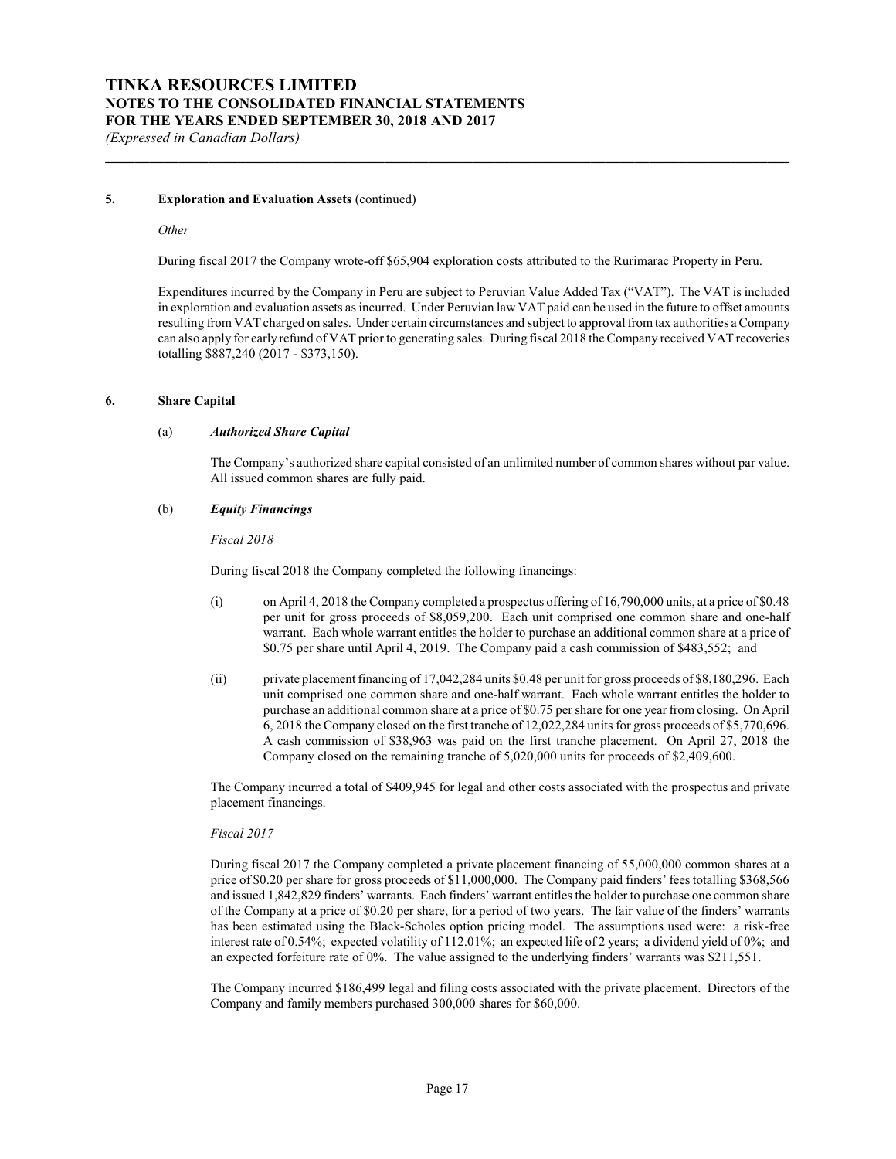#### **5. Exploration and Evaluation Assets** (continued)

#### *Other*

During fiscal 2017 the Company wrote-off \$65,904 exploration costs attributed to the Rurimarac Property in Peru.

**\_\_\_\_\_\_\_\_\_\_\_\_\_\_\_\_\_\_\_\_\_\_\_\_\_\_\_\_\_\_\_\_\_\_\_\_\_\_\_\_\_\_\_\_\_\_\_\_\_\_\_\_\_\_\_\_\_\_\_\_\_\_\_\_\_\_\_\_\_\_\_\_\_\_\_\_\_\_\_\_\_\_\_\_\_\_\_\_\_\_\_\_\_**

Expenditures incurred by the Company in Peru are subject to Peruvian Value Added Tax ("VAT"). The VAT is included in exploration and evaluation assets as incurred. Under Peruvian law VAT paid can be used in the future to offset amounts resulting from VAT charged on sales. Under certain circumstances and subject to approval from tax authorities a Company can also apply for early refund of VAT prior to generating sales. During fiscal 2018 the Company received VAT recoveries totalling \$887,240 (2017 - \$373,150).

#### **6. Share Capital**

#### (a) *Authorized Share Capital*

The Company's authorized share capital consisted of an unlimited number of common shares without par value. All issued common shares are fully paid.

#### (b) *Equity Financings*

*Fiscal 2018*

During fiscal 2018 the Company completed the following financings:

- (i) on April 4, 2018 the Company completed a prospectus offering of 16,790,000 units, at a price of \$0.48 per unit for gross proceeds of \$8,059,200. Each unit comprised one common share and one-half warrant. Each whole warrant entitles the holder to purchase an additional common share at a price of \$0.75 per share until April 4, 2019. The Company paid a cash commission of \$483,552; and
- (ii) private placement financing of 17,042,284 units \$0.48 per unit for gross proceeds of \$8,180,296. Each unit comprised one common share and one-half warrant. Each whole warrant entitles the holder to purchase an additional common share at a price of \$0.75 per share for one year from closing. On April 6, 2018 the Company closed on the first tranche of 12,022,284 units for gross proceeds of \$5,770,696. A cash commission of \$38,963 was paid on the first tranche placement. On April 27, 2018 the Company closed on the remaining tranche of 5,020,000 units for proceeds of \$2,409,600.

The Company incurred a total of \$409,945 for legal and other costs associated with the prospectus and private placement financings.

#### *Fiscal 2017*

During fiscal 2017 the Company completed a private placement financing of 55,000,000 common shares at a price of \$0.20 per share for gross proceeds of \$11,000,000. The Company paid finders' fees totalling \$368,566 and issued 1,842,829 finders' warrants. Each finders' warrant entitles the holder to purchase one common share of the Company at a price of \$0.20 per share, for a period of two years. The fair value of the finders' warrants has been estimated using the Black-Scholes option pricing model. The assumptions used were: a risk-free interest rate of 0.54%; expected volatility of 112.01%; an expected life of 2 years; a dividend yield of 0%; and an expected forfeiture rate of 0%. The value assigned to the underlying finders' warrants was \$211,551.

The Company incurred \$186,499 legal and filing costs associated with the private placement. Directors of the Company and family members purchased 300,000 shares for \$60,000.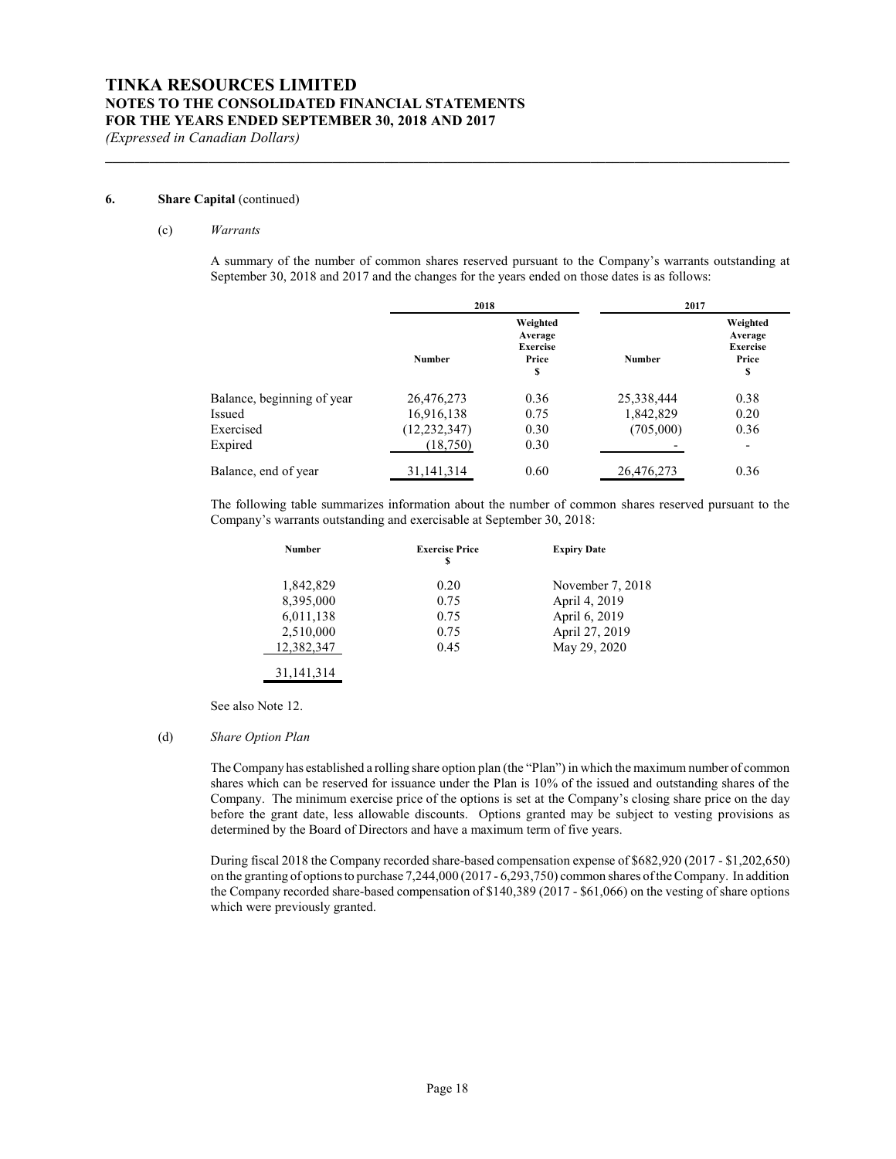#### **6. Share Capital** (continued)

#### (c) *Warrants*

A summary of the number of common shares reserved pursuant to the Company's warrants outstanding at September 30, 2018 and 2017 and the changes for the years ended on those dates is as follows:

**\_\_\_\_\_\_\_\_\_\_\_\_\_\_\_\_\_\_\_\_\_\_\_\_\_\_\_\_\_\_\_\_\_\_\_\_\_\_\_\_\_\_\_\_\_\_\_\_\_\_\_\_\_\_\_\_\_\_\_\_\_\_\_\_\_\_\_\_\_\_\_\_\_\_\_\_\_\_\_\_\_\_\_\_\_\_\_\_\_\_\_\_\_**

|                            |                | 2018                                                  |               | 2017                                                  |
|----------------------------|----------------|-------------------------------------------------------|---------------|-------------------------------------------------------|
|                            | <b>Number</b>  | Weighted<br>Average<br><b>Exercise</b><br>Price<br>\$ | <b>Number</b> | Weighted<br>Average<br><b>Exercise</b><br>Price<br>\$ |
| Balance, beginning of year | 26,476,273     | 0.36                                                  | 25,338,444    | 0.38                                                  |
| Issued                     | 16,916,138     | 0.75                                                  | 1,842,829     | 0.20                                                  |
| Exercised                  | (12, 232, 347) | 0.30                                                  | (705,000)     | 0.36                                                  |
| Expired                    | (18, 750)      | 0.30                                                  |               | -                                                     |
| Balance, end of year       | 31, 141, 314   | 0.60                                                  | 26,476,273    | 0.36                                                  |

The following table summarizes information about the number of common shares reserved pursuant to the Company's warrants outstanding and exercisable at September 30, 2018:

| <b>Number</b> | <b>Exercise Price</b><br>S | <b>Expiry Date</b> |
|---------------|----------------------------|--------------------|
| 1,842,829     | 0.20                       | November 7, 2018   |
| 8,395,000     | 0.75                       | April 4, 2019      |
| 6,011,138     | 0.75                       | April 6, 2019      |
| 2,510,000     | 0.75                       | April 27, 2019     |
| 12,382,347    | 0.45                       | May 29, 2020       |
| 31.141.314    |                            |                    |

See also Note 12.

#### (d) *Share Option Plan*

The Company has established a rolling share option plan (the "Plan") in which the maximum number of common shares which can be reserved for issuance under the Plan is 10% of the issued and outstanding shares of the Company. The minimum exercise price of the options is set at the Company's closing share price on the day before the grant date, less allowable discounts. Options granted may be subject to vesting provisions as determined by the Board of Directors and have a maximum term of five years.

During fiscal 2018 the Company recorded share-based compensation expense of \$682,920 (2017 - \$1,202,650) on the granting of options to purchase 7,244,000 (2017 - 6,293,750) common shares of the Company. In addition the Company recorded share-based compensation of \$140,389 (2017 - \$61,066) on the vesting of share options which were previously granted.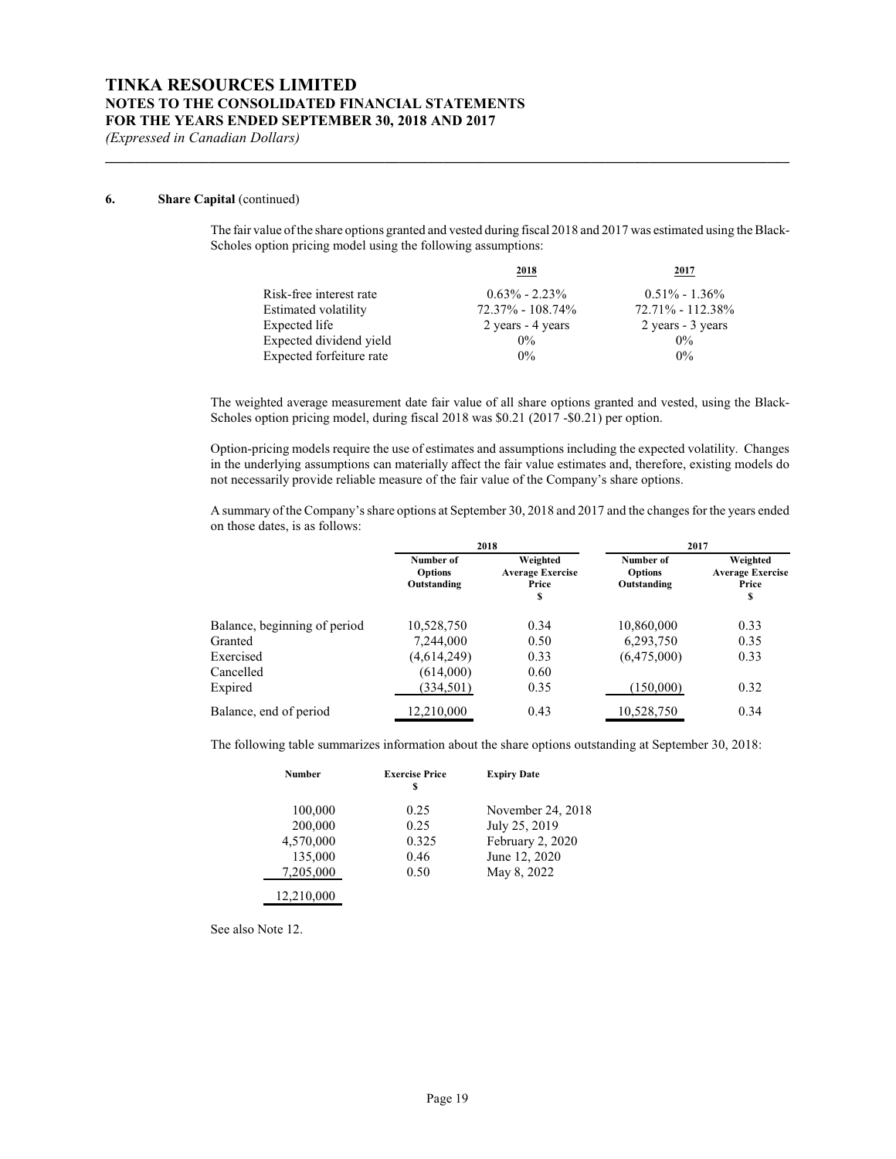#### **6. Share Capital** (continued)

The fair value of the share options granted and vested during fiscal 2018 and 2017 was estimated using the Black-Scholes option pricing model using the following assumptions:

**\_\_\_\_\_\_\_\_\_\_\_\_\_\_\_\_\_\_\_\_\_\_\_\_\_\_\_\_\_\_\_\_\_\_\_\_\_\_\_\_\_\_\_\_\_\_\_\_\_\_\_\_\_\_\_\_\_\_\_\_\_\_\_\_\_\_\_\_\_\_\_\_\_\_\_\_\_\_\_\_\_\_\_\_\_\_\_\_\_\_\_\_\_**

|                          | 2018              | 2017              |
|--------------------------|-------------------|-------------------|
| Risk-free interest rate  | $0.63\% - 2.23\%$ | $0.51\% - 1.36\%$ |
| Estimated volatility     | 72.37% - 108.74%  | 72.71% - 112.38%  |
| Expected life            | 2 years - 4 years | 2 years - 3 years |
| Expected dividend yield  | $0\%$             | $0\%$             |
| Expected forfeiture rate | $0\%$             | $0\%$             |

The weighted average measurement date fair value of all share options granted and vested, using the Black-Scholes option pricing model, during fiscal 2018 was \$0.21 (2017 -\$0.21) per option.

Option-pricing models require the use of estimates and assumptions including the expected volatility. Changes in the underlying assumptions can materially affect the fair value estimates and, therefore, existing models do not necessarily provide reliable measure of the fair value of the Company's share options.

A summary of the Company'sshare options at September 30, 2018 and 2017 and the changes for the years ended on those dates, is as follows:

|                              | 2018                                       |                                                    | 2017                                       |                                                    |  |
|------------------------------|--------------------------------------------|----------------------------------------------------|--------------------------------------------|----------------------------------------------------|--|
|                              | Number of<br><b>Options</b><br>Outstanding | Weighted<br><b>Average Exercise</b><br>Price<br>\$ | Number of<br><b>Options</b><br>Outstanding | Weighted<br><b>Average Exercise</b><br>Price<br>\$ |  |
| Balance, beginning of period | 10,528,750                                 | 0.34                                               | 10,860,000                                 | 0.33                                               |  |
| Granted                      | 7,244,000                                  | 0.50                                               | 6,293,750                                  | 0.35                                               |  |
| Exercised                    | (4,614,249)                                | 0.33                                               | (6,475,000)                                | 0.33                                               |  |
| Cancelled                    | (614,000)                                  | 0.60                                               |                                            |                                                    |  |
| Expired                      | (334, 501)                                 | 0.35                                               | (150,000)                                  | 0.32                                               |  |
| Balance, end of period       | 12,210,000                                 | 0.43                                               | 10,528,750                                 | 0.34                                               |  |

The following table summarizes information about the share options outstanding at September 30, 2018:

| <b>Number</b> | <b>Exercise Price</b><br>S | <b>Expiry Date</b> |
|---------------|----------------------------|--------------------|
| 100,000       | 0.25                       | November 24, 2018  |
| 200,000       | 0.25                       | July 25, 2019      |
| 4,570,000     | 0.325                      | February 2, 2020   |
| 135,000       | 0.46                       | June 12, 2020      |
| 7,205,000     | 0.50                       | May 8, 2022        |
| 12,210,000    |                            |                    |

See also Note 12.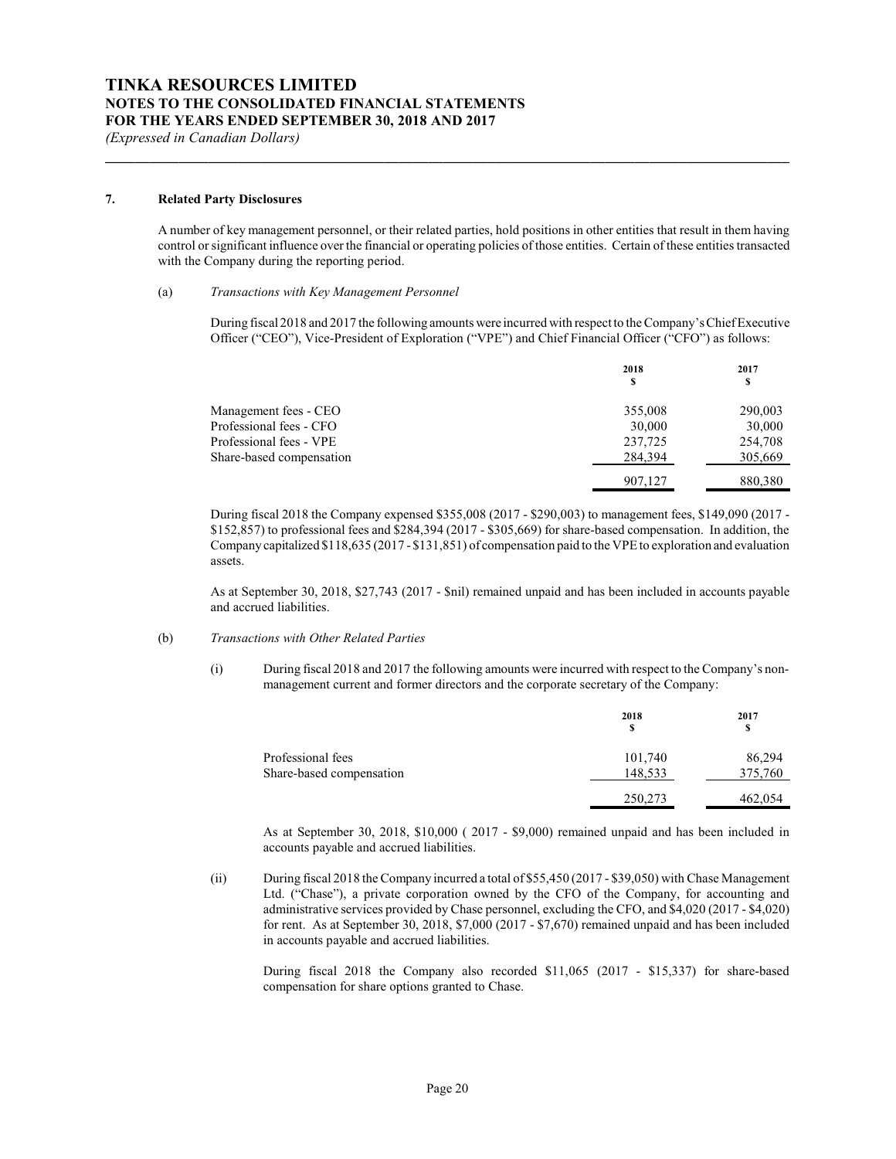#### **7. Related Party Disclosures**

A number of key management personnel, or their related parties, hold positions in other entities that result in them having control or significant influence over the financial or operating policies of those entities. Certain of these entities transacted with the Company during the reporting period.

**\_\_\_\_\_\_\_\_\_\_\_\_\_\_\_\_\_\_\_\_\_\_\_\_\_\_\_\_\_\_\_\_\_\_\_\_\_\_\_\_\_\_\_\_\_\_\_\_\_\_\_\_\_\_\_\_\_\_\_\_\_\_\_\_\_\_\_\_\_\_\_\_\_\_\_\_\_\_\_\_\_\_\_\_\_\_\_\_\_\_\_\_\_**

#### (a) *Transactions with Key Management Personnel*

During fiscal 2018 and 2017 the following amounts were incurred with respect to the Company's Chief Executive Officer ("CEO"), Vice-President of Exploration ("VPE") and Chief Financial Officer ("CFO") as follows:

|                          | 2018<br>\$ | 2017<br>S |
|--------------------------|------------|-----------|
| Management fees - CEO    | 355,008    | 290,003   |
| Professional fees - CFO  | 30,000     | 30,000    |
| Professional fees - VPE  | 237,725    | 254,708   |
| Share-based compensation | 284,394    | 305,669   |
|                          | 907,127    | 880.380   |

During fiscal 2018 the Company expensed \$355,008 (2017 - \$290,003) to management fees, \$149,090 (2017 - \$152,857) to professional fees and \$284,394 (2017 - \$305,669) for share-based compensation. In addition, the Company capitalized \$118,635 (2017 - \$131,851) of compensation paid to the VPE to exploration and evaluation assets.

As at September 30, 2018, \$27,743 (2017 - \$nil) remained unpaid and has been included in accounts payable and accrued liabilities.

#### (b) *Transactions with Other Related Parties*

(i) During fiscal 2018 and 2017 the following amounts were incurred with respect to the Company's nonmanagement current and former directors and the corporate secretary of the Company:

|                          | 2018<br>S | 2017<br>s |
|--------------------------|-----------|-----------|
| Professional fees        | 101,740   | 86,294    |
| Share-based compensation | 148,533   | 375,760   |
|                          | 250,273   | 462,054   |

As at September 30, 2018, \$10,000 ( 2017 - \$9,000) remained unpaid and has been included in accounts payable and accrued liabilities.

(ii) During fiscal 2018 the Company incurred a total of \$55,450 (2017 - \$39,050) with Chase Management Ltd. ("Chase"), a private corporation owned by the CFO of the Company, for accounting and administrative services provided by Chase personnel, excluding the CFO, and \$4,020 (2017 - \$4,020) for rent. As at September 30, 2018, \$7,000 (2017 - \$7,670) remained unpaid and has been included in accounts payable and accrued liabilities.

During fiscal 2018 the Company also recorded \$11,065 (2017 - \$15,337) for share-based compensation for share options granted to Chase.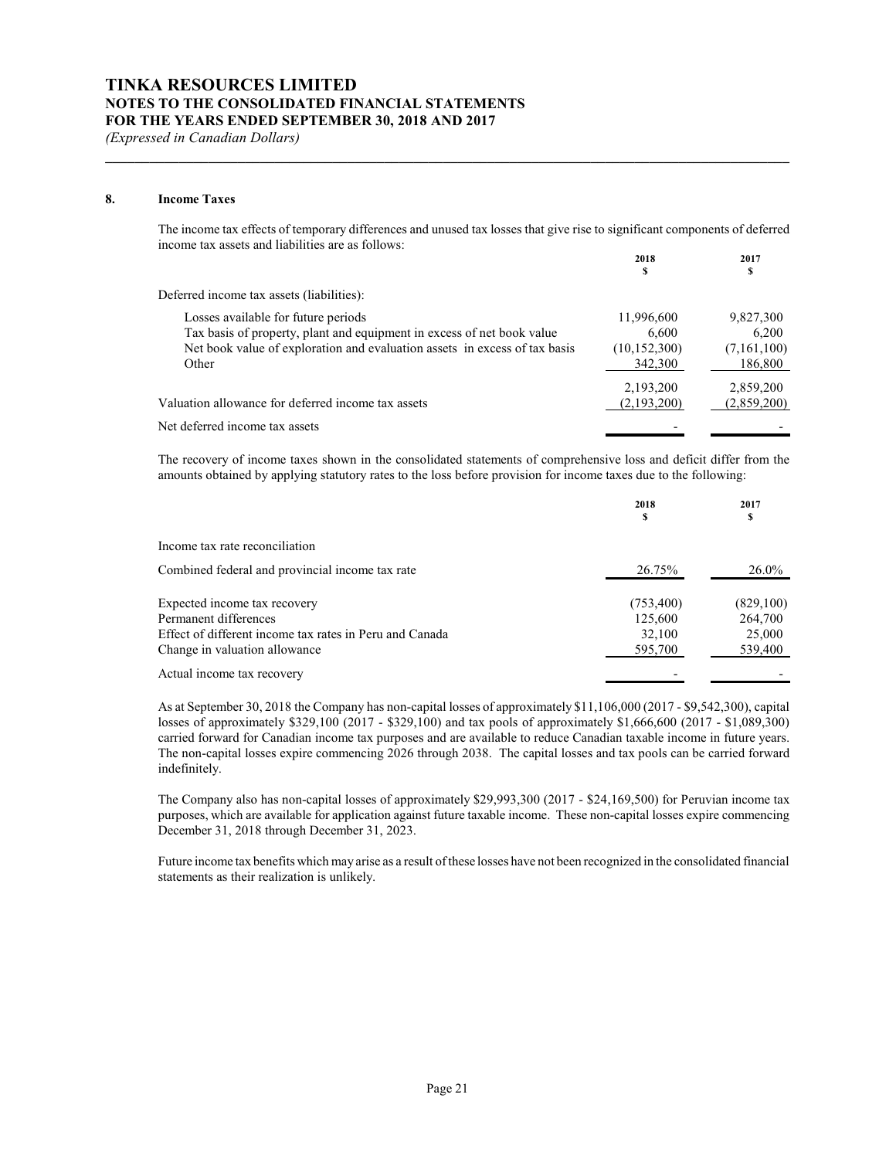#### **8. Income Taxes**

The income tax effects of temporary differences and unused tax losses that give rise to significant components of deferred income tax assets and liabilities are as follows:

**\_\_\_\_\_\_\_\_\_\_\_\_\_\_\_\_\_\_\_\_\_\_\_\_\_\_\_\_\_\_\_\_\_\_\_\_\_\_\_\_\_\_\_\_\_\_\_\_\_\_\_\_\_\_\_\_\_\_\_\_\_\_\_\_\_\_\_\_\_\_\_\_\_\_\_\_\_\_\_\_\_\_\_\_\_\_\_\_\_\_\_\_\_**

|                                                                            | 2018<br>S      | 2017<br>S   |
|----------------------------------------------------------------------------|----------------|-------------|
| Deferred income tax assets (liabilities):                                  |                |             |
| Losses available for future periods                                        | 11,996,600     | 9,827,300   |
| Tax basis of property, plant and equipment in excess of net book value     | 6.600          | 6.200       |
| Net book value of exploration and evaluation assets in excess of tax basis | (10, 152, 300) | (7,161,100) |
| Other                                                                      | 342,300        | 186,800     |
| Valuation allowance for deferred income tax assets                         | 2,193,200      | 2,859,200   |
| Net deferred income tax assets                                             | (2,193,200)    | (2,859,200) |

The recovery of income taxes shown in the consolidated statements of comprehensive loss and deficit differ from the amounts obtained by applying statutory rates to the loss before provision for income taxes due to the following:

|                                                         | 2018<br>S  | 2017<br>\$ |
|---------------------------------------------------------|------------|------------|
| Income tax rate reconciliation                          |            |            |
| Combined federal and provincial income tax rate         | 26.75%     | 26.0%      |
| Expected income tax recovery                            | (753, 400) | (829,100)  |
| Permanent differences                                   | 125,600    | 264,700    |
| Effect of different income tax rates in Peru and Canada | 32,100     | 25,000     |
| Change in valuation allowance                           | 595,700    | 539,400    |
| Actual income tax recovery                              |            |            |

As at September 30, 2018 the Company has non-capital losses of approximately \$11,106,000 (2017 - \$9,542,300), capital losses of approximately \$329,100 (2017 - \$329,100) and tax pools of approximately \$1,666,600 (2017 - \$1,089,300) carried forward for Canadian income tax purposes and are available to reduce Canadian taxable income in future years. The non-capital losses expire commencing 2026 through 2038. The capital losses and tax pools can be carried forward indefinitely.

The Company also has non-capital losses of approximately \$29,993,300 (2017 - \$24,169,500) for Peruvian income tax purposes, which are available for application against future taxable income. These non-capital losses expire commencing December 31, 2018 through December 31, 2023.

Future income tax benefits which may arise as a result of these losses have not been recognized in the consolidated financial statements as their realization is unlikely.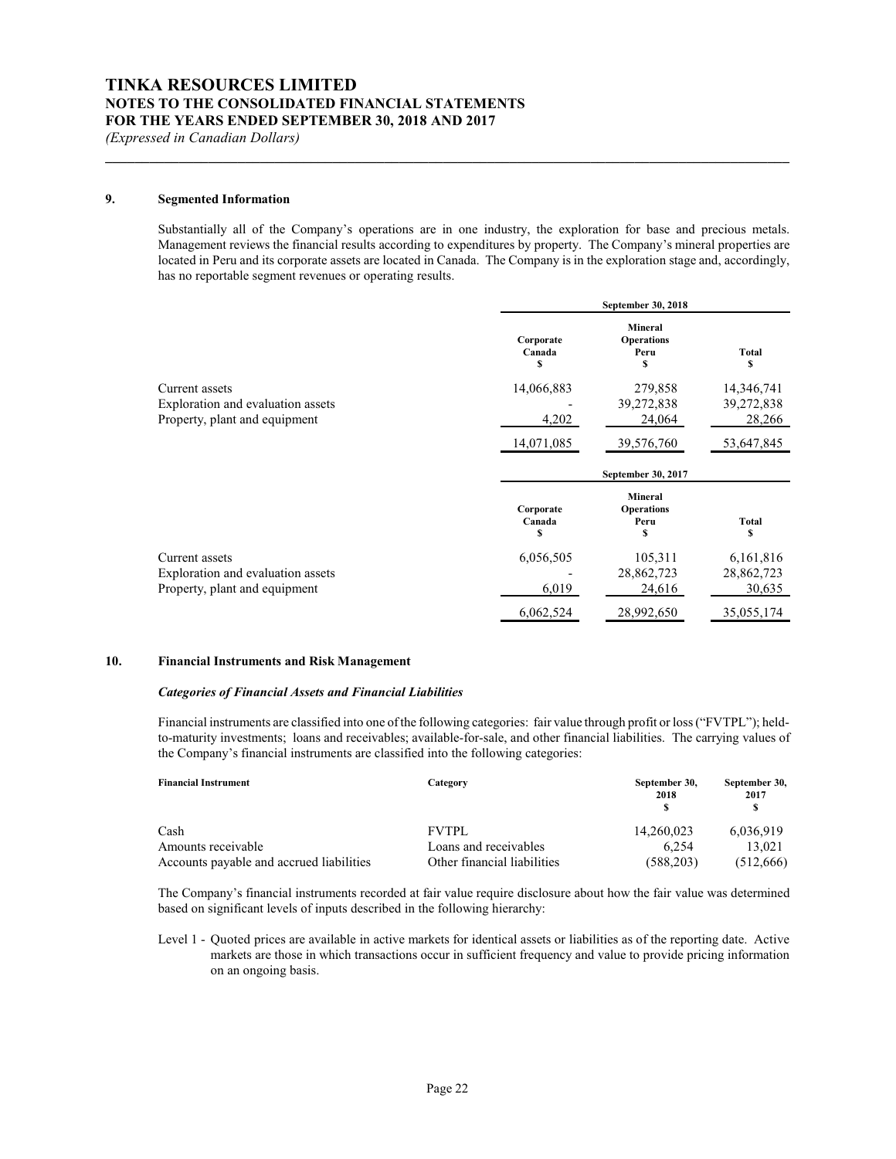#### **9. Segmented Information**

Substantially all of the Company's operations are in one industry, the exploration for base and precious metals. Management reviews the financial results according to expenditures by property. The Company's mineral properties are located in Peru and its corporate assets are located in Canada. The Company is in the exploration stage and, accordingly, has no reportable segment revenues or operating results.

**\_\_\_\_\_\_\_\_\_\_\_\_\_\_\_\_\_\_\_\_\_\_\_\_\_\_\_\_\_\_\_\_\_\_\_\_\_\_\_\_\_\_\_\_\_\_\_\_\_\_\_\_\_\_\_\_\_\_\_\_\_\_\_\_\_\_\_\_\_\_\_\_\_\_\_\_\_\_\_\_\_\_\_\_\_\_\_\_\_\_\_\_\_**

|                                                                                      | September 30, 2018       |                                                   |                                    |
|--------------------------------------------------------------------------------------|--------------------------|---------------------------------------------------|------------------------------------|
|                                                                                      | Corporate<br>Canada<br>S | <b>Mineral</b><br><b>Operations</b><br>Peru<br>\$ | Total<br>S                         |
| Current assets<br>Exploration and evaluation assets<br>Property, plant and equipment | 14,066,883<br>4,202      | 279,858<br>39,272,838<br>24,064                   | 14,346,741<br>39,272,838<br>28,266 |
|                                                                                      | 14,071,085               | 39,576,760                                        | 53,647,845                         |
|                                                                                      |                          | September 30, 2017                                |                                    |
|                                                                                      | Corporate<br>Canada<br>S | <b>Mineral</b><br><b>Operations</b><br>Peru<br>\$ | Total<br>S                         |
| Current assets<br>Exploration and evaluation assets<br>Property, plant and equipment | 6,056,505<br>6,019       | 105,311<br>28,862,723<br>24,616                   | 6,161,816<br>28,862,723<br>30,635  |
|                                                                                      | 6,062,524                | 28,992,650                                        | 35,055,174                         |

#### **10. Financial Instruments and Risk Management**

#### *Categories of Financial Assets and Financial Liabilities*

Financial instruments are classified into one of the following categories: fair value through profit or loss ("FVTPL"); heldto-maturity investments; loans and receivables; available-for-sale, and other financial liabilities. The carrying values of the Company's financial instruments are classified into the following categories:

| <b>Financial Instrument</b>              | Category                    | September 30,<br>2018 | September 30,<br>2017 |
|------------------------------------------|-----------------------------|-----------------------|-----------------------|
| Cash                                     | <b>FVTPL</b>                | 14.260.023            | 6,036,919             |
| Amounts receivable                       | Loans and receivables       | 6.254                 | 13.021                |
| Accounts payable and accrued liabilities | Other financial liabilities | (588, 203)            | (512,666)             |

The Company's financial instruments recorded at fair value require disclosure about how the fair value was determined based on significant levels of inputs described in the following hierarchy:

Level 1 - Quoted prices are available in active markets for identical assets or liabilities as of the reporting date. Active markets are those in which transactions occur in sufficient frequency and value to provide pricing information on an ongoing basis.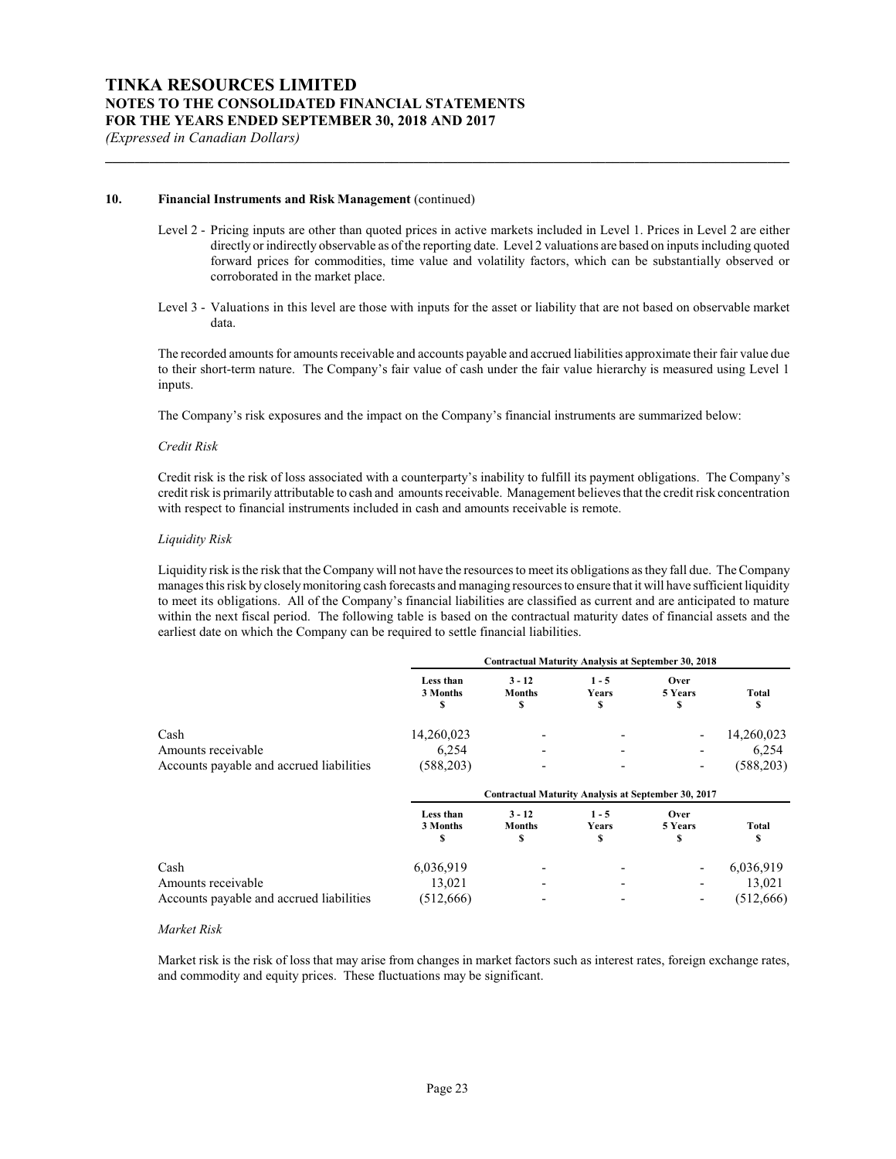#### **10. Financial Instruments and Risk Management** (continued)

Level 2 - Pricing inputs are other than quoted prices in active markets included in Level 1. Prices in Level 2 are either directly or indirectly observable as of the reporting date. Level 2 valuations are based on inputs including quoted forward prices for commodities, time value and volatility factors, which can be substantially observed or corroborated in the market place.

**\_\_\_\_\_\_\_\_\_\_\_\_\_\_\_\_\_\_\_\_\_\_\_\_\_\_\_\_\_\_\_\_\_\_\_\_\_\_\_\_\_\_\_\_\_\_\_\_\_\_\_\_\_\_\_\_\_\_\_\_\_\_\_\_\_\_\_\_\_\_\_\_\_\_\_\_\_\_\_\_\_\_\_\_\_\_\_\_\_\_\_\_\_**

Level 3 - Valuations in this level are those with inputs for the asset or liability that are not based on observable market data.

The recorded amounts for amounts receivable and accounts payable and accrued liabilities approximate their fair value due to their short-term nature. The Company's fair value of cash under the fair value hierarchy is measured using Level 1 inputs.

The Company's risk exposures and the impact on the Company's financial instruments are summarized below:

#### *Credit Risk*

Credit risk is the risk of loss associated with a counterparty's inability to fulfill its payment obligations. The Company's credit risk is primarily attributable to cash and amounts receivable. Management believes that the credit risk concentration with respect to financial instruments included in cash and amounts receivable is remote.

#### *Liquidity Risk*

Liquidity risk is the risk that the Company will not have the resources to meet its obligations as they fall due. The Company manages this risk by closelymonitoring cash forecasts and managing resources to ensure that it will have sufficient liquidity to meet its obligations. All of the Company's financial liabilities are classified as current and are anticipated to mature within the next fiscal period. The following table is based on the contractual maturity dates of financial assets and the earliest date on which the Company can be required to settle financial liabilities.

|                                          | <b>Contractual Maturity Analysis at September 30, 2018</b> |                                                     |                       |                       |             |
|------------------------------------------|------------------------------------------------------------|-----------------------------------------------------|-----------------------|-----------------------|-------------|
|                                          | Less than<br>3 Months<br>\$                                | $3 - 12$<br><b>Months</b>                           | $1 - 5$<br>Years<br>S | Over<br>5 Years<br>\$ | Total       |
| Cash                                     | 14,260,023                                                 |                                                     |                       | -                     | 14,260,023  |
| Amounts receivable                       | 6,254                                                      |                                                     |                       |                       | 6,254       |
| Accounts payable and accrued liabilities | (588, 203)                                                 |                                                     |                       |                       | (588, 203)  |
|                                          |                                                            | Contractual Maturity Analysis at September 30, 2017 |                       |                       |             |
|                                          | Less than<br>3 Months<br>\$                                | $3 - 12$<br><b>Months</b><br>\$                     | $1 - 5$<br>Years<br>S | Over<br>5 Years<br>\$ | Total<br>\$ |
| Cash                                     | 6,036,919                                                  |                                                     |                       |                       | 6,036,919   |
| Amounts receivable                       | 13,021                                                     |                                                     |                       |                       | 13,021      |
| Accounts payable and accrued liabilities | (512,666)                                                  |                                                     |                       |                       | (512,666)   |

#### *Market Risk*

Market risk is the risk of loss that may arise from changes in market factors such as interest rates, foreign exchange rates, and commodity and equity prices. These fluctuations may be significant.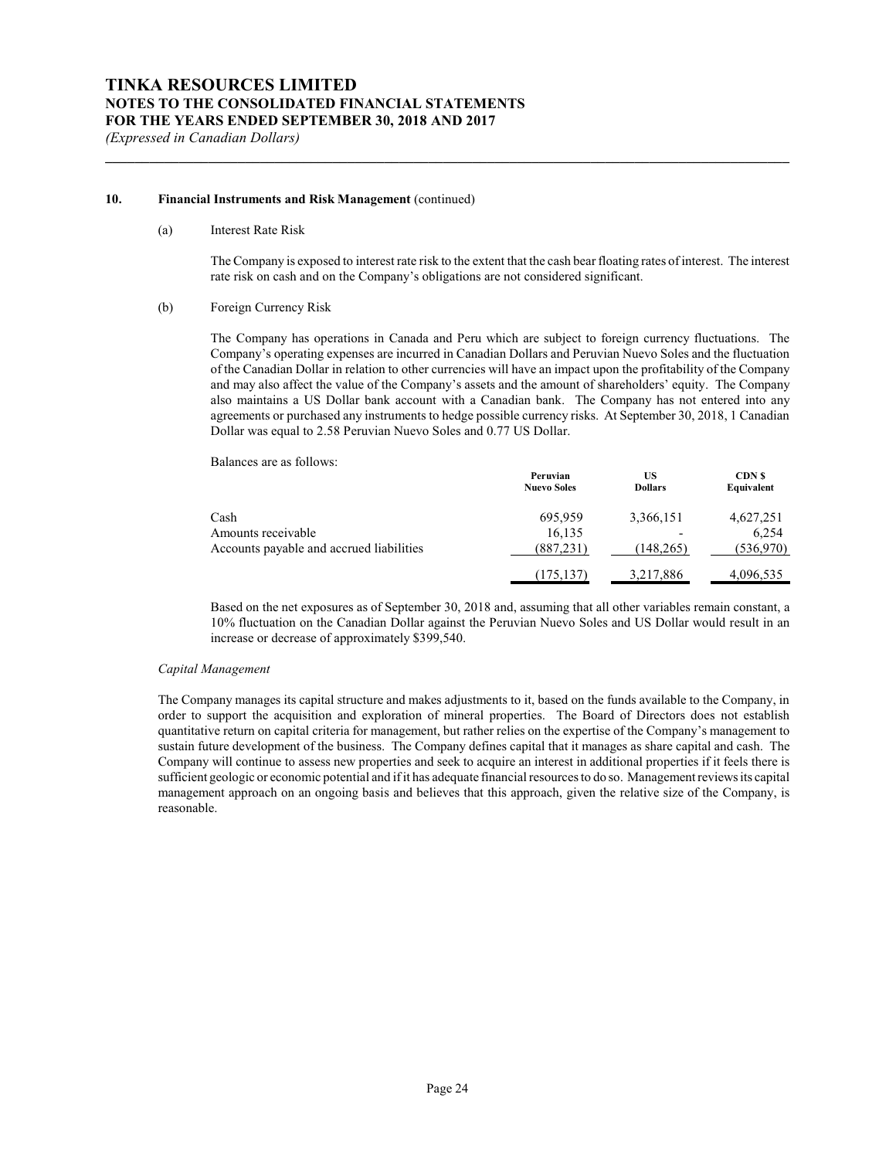#### **10. Financial Instruments and Risk Management** (continued)

(a) Interest Rate Risk

The Company is exposed to interest rate risk to the extent that the cash bear floating rates of interest. The interest rate risk on cash and on the Company's obligations are not considered significant.

**\_\_\_\_\_\_\_\_\_\_\_\_\_\_\_\_\_\_\_\_\_\_\_\_\_\_\_\_\_\_\_\_\_\_\_\_\_\_\_\_\_\_\_\_\_\_\_\_\_\_\_\_\_\_\_\_\_\_\_\_\_\_\_\_\_\_\_\_\_\_\_\_\_\_\_\_\_\_\_\_\_\_\_\_\_\_\_\_\_\_\_\_\_**

(b) Foreign Currency Risk

The Company has operations in Canada and Peru which are subject to foreign currency fluctuations. The Company's operating expenses are incurred in Canadian Dollars and Peruvian Nuevo Soles and the fluctuation of the Canadian Dollar in relation to other currencies will have an impact upon the profitability of the Company and may also affect the value of the Company's assets and the amount of shareholders' equity. The Company also maintains a US Dollar bank account with a Canadian bank. The Company has not entered into any agreements or purchased any instruments to hedge possible currency risks. At September 30, 2018, 1 Canadian Dollar was equal to 2.58 Peruvian Nuevo Soles and 0.77 US Dollar.

Balances are as follows:

|                                          | Peruvian<br><b>Nuevo Soles</b> | US<br><b>Dollars</b> | <b>CDN</b> \$<br>Equivalent |
|------------------------------------------|--------------------------------|----------------------|-----------------------------|
| Cash                                     | 695,959                        | 3,366,151            | 4,627,251                   |
| Amounts receivable                       | 16.135                         |                      | 6.254                       |
| Accounts payable and accrued liabilities | (887, 231)                     | (148, 265)           | (536,970)                   |
|                                          | (175,137                       | 3,217,886            | 4,096,535                   |

Based on the net exposures as of September 30, 2018 and, assuming that all other variables remain constant, a 10% fluctuation on the Canadian Dollar against the Peruvian Nuevo Soles and US Dollar would result in an increase or decrease of approximately \$399,540.

#### *Capital Management*

The Company manages its capital structure and makes adjustments to it, based on the funds available to the Company, in order to support the acquisition and exploration of mineral properties. The Board of Directors does not establish quantitative return on capital criteria for management, but rather relies on the expertise of the Company's management to sustain future development of the business. The Company defines capital that it manages as share capital and cash. The Company will continue to assess new properties and seek to acquire an interest in additional properties if it feels there is sufficient geologic or economic potential and if it has adequate financial resources to do so. Management reviews its capital management approach on an ongoing basis and believes that this approach, given the relative size of the Company, is reasonable.